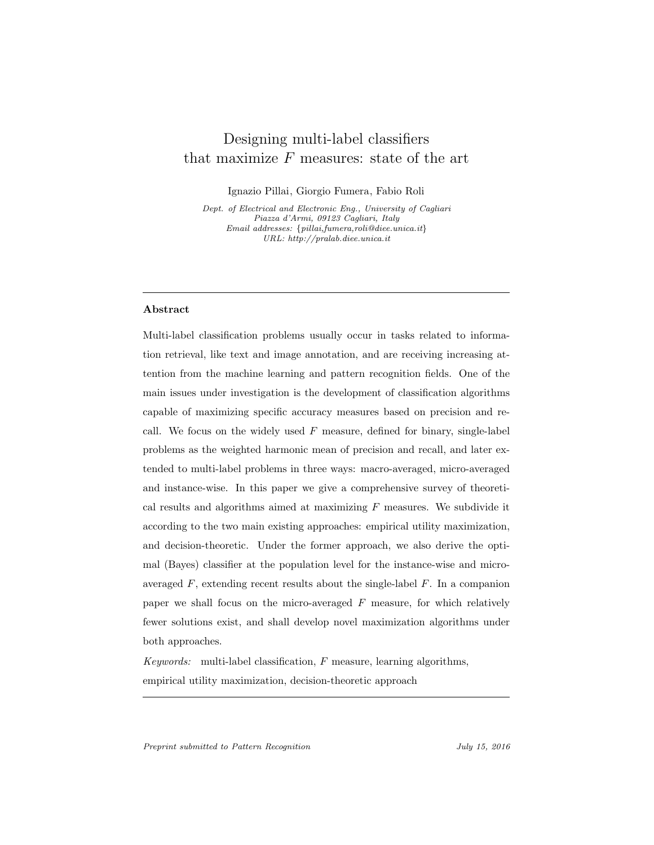# Designing multi-label classifiers that maximize  $F$  measures: state of the art

Ignazio Pillai, Giorgio Fumera, Fabio Roli

Dept. of Electrical and Electronic Eng., University of Cagliari Piazza d'Armi, 09123 Cagliari, Italy Email addresses: {pillai,fumera,roli@diee.unica.it} URL: http://pralab.diee.unica.it

# Abstract

Multi-label classification problems usually occur in tasks related to information retrieval, like text and image annotation, and are receiving increasing attention from the machine learning and pattern recognition fields. One of the main issues under investigation is the development of classification algorithms capable of maximizing specific accuracy measures based on precision and recall. We focus on the widely used  $F$  measure, defined for binary, single-label problems as the weighted harmonic mean of precision and recall, and later extended to multi-label problems in three ways: macro-averaged, micro-averaged and instance-wise. In this paper we give a comprehensive survey of theoretical results and algorithms aimed at maximizing  $F$  measures. We subdivide it according to the two main existing approaches: empirical utility maximization, and decision-theoretic. Under the former approach, we also derive the optimal (Bayes) classifier at the population level for the instance-wise and microaveraged  $F$ , extending recent results about the single-label  $F$ . In a companion paper we shall focus on the micro-averaged  $F$  measure, for which relatively fewer solutions exist, and shall develop novel maximization algorithms under both approaches.

 $Keywords:$  multi-label classification,  $F$  measure, learning algorithms, empirical utility maximization, decision-theoretic approach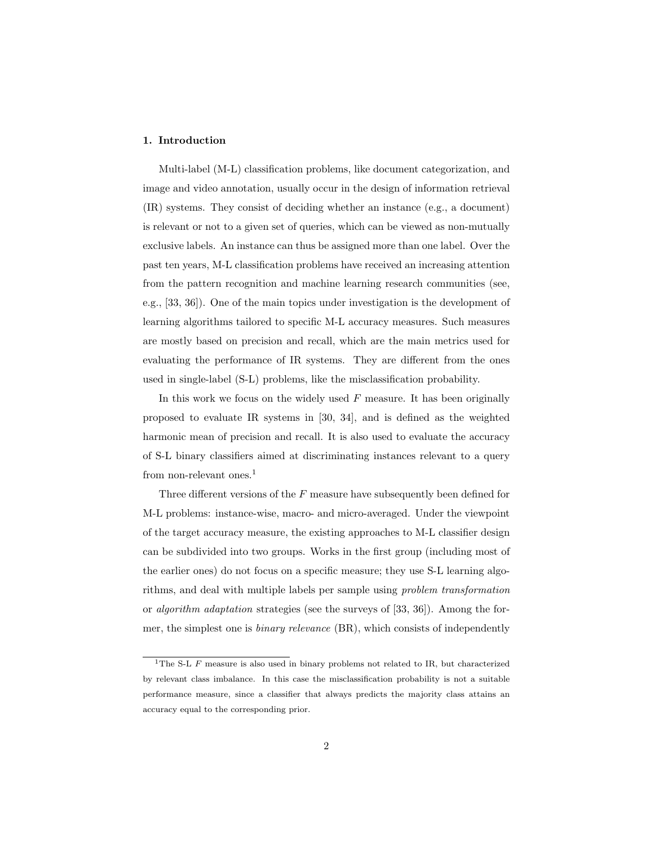## 1. Introduction

Multi-label (M-L) classification problems, like document categorization, and image and video annotation, usually occur in the design of information retrieval (IR) systems. They consist of deciding whether an instance (e.g., a document) is relevant or not to a given set of queries, which can be viewed as non-mutually exclusive labels. An instance can thus be assigned more than one label. Over the past ten years, M-L classification problems have received an increasing attention from the pattern recognition and machine learning research communities (see, e.g., [33, 36]). One of the main topics under investigation is the development of learning algorithms tailored to specific M-L accuracy measures. Such measures are mostly based on precision and recall, which are the main metrics used for evaluating the performance of IR systems. They are different from the ones used in single-label (S-L) problems, like the misclassification probability.

In this work we focus on the widely used  $F$  measure. It has been originally proposed to evaluate IR systems in [30, 34], and is defined as the weighted harmonic mean of precision and recall. It is also used to evaluate the accuracy of S-L binary classifiers aimed at discriminating instances relevant to a query from non-relevant ones.<sup>1</sup>

Three different versions of the F measure have subsequently been defined for M-L problems: instance-wise, macro- and micro-averaged. Under the viewpoint of the target accuracy measure, the existing approaches to M-L classifier design can be subdivided into two groups. Works in the first group (including most of the earlier ones) do not focus on a specific measure; they use S-L learning algorithms, and deal with multiple labels per sample using problem transformation or algorithm adaptation strategies (see the surveys of [33, 36]). Among the former, the simplest one is binary relevance (BR), which consists of independently

<sup>&</sup>lt;sup>1</sup>The S-L  $F$  measure is also used in binary problems not related to IR, but characterized by relevant class imbalance. In this case the misclassification probability is not a suitable performance measure, since a classifier that always predicts the majority class attains an accuracy equal to the corresponding prior.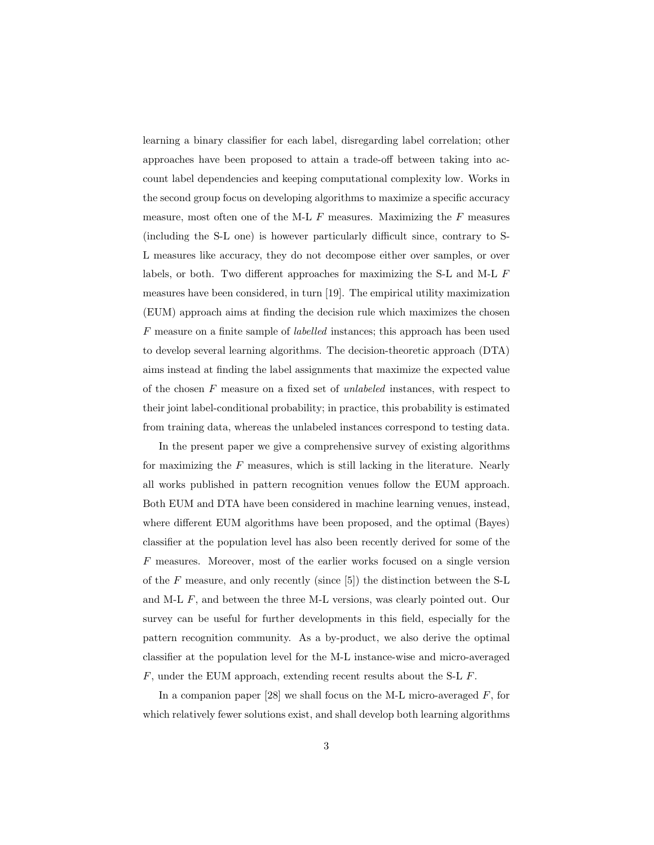learning a binary classifier for each label, disregarding label correlation; other approaches have been proposed to attain a trade-off between taking into account label dependencies and keeping computational complexity low. Works in the second group focus on developing algorithms to maximize a specific accuracy measure, most often one of the M-L  $F$  measures. Maximizing the  $F$  measures (including the S-L one) is however particularly difficult since, contrary to S-L measures like accuracy, they do not decompose either over samples, or over labels, or both. Two different approaches for maximizing the S-L and M-L F measures have been considered, in turn [19]. The empirical utility maximization (EUM) approach aims at finding the decision rule which maximizes the chosen F measure on a finite sample of labelled instances; this approach has been used to develop several learning algorithms. The decision-theoretic approach (DTA) aims instead at finding the label assignments that maximize the expected value of the chosen F measure on a fixed set of unlabeled instances, with respect to their joint label-conditional probability; in practice, this probability is estimated from training data, whereas the unlabeled instances correspond to testing data.

In the present paper we give a comprehensive survey of existing algorithms for maximizing the F measures, which is still lacking in the literature. Nearly all works published in pattern recognition venues follow the EUM approach. Both EUM and DTA have been considered in machine learning venues, instead, where different EUM algorithms have been proposed, and the optimal (Bayes) classifier at the population level has also been recently derived for some of the F measures. Moreover, most of the earlier works focused on a single version of the  $F$  measure, and only recently (since  $[5]$ ) the distinction between the S-L and M-L  $F$ , and between the three M-L versions, was clearly pointed out. Our survey can be useful for further developments in this field, especially for the pattern recognition community. As a by-product, we also derive the optimal classifier at the population level for the M-L instance-wise and micro-averaged F, under the EUM approach, extending recent results about the S-L F.

In a companion paper [28] we shall focus on the M-L micro-averaged  $F$ , for which relatively fewer solutions exist, and shall develop both learning algorithms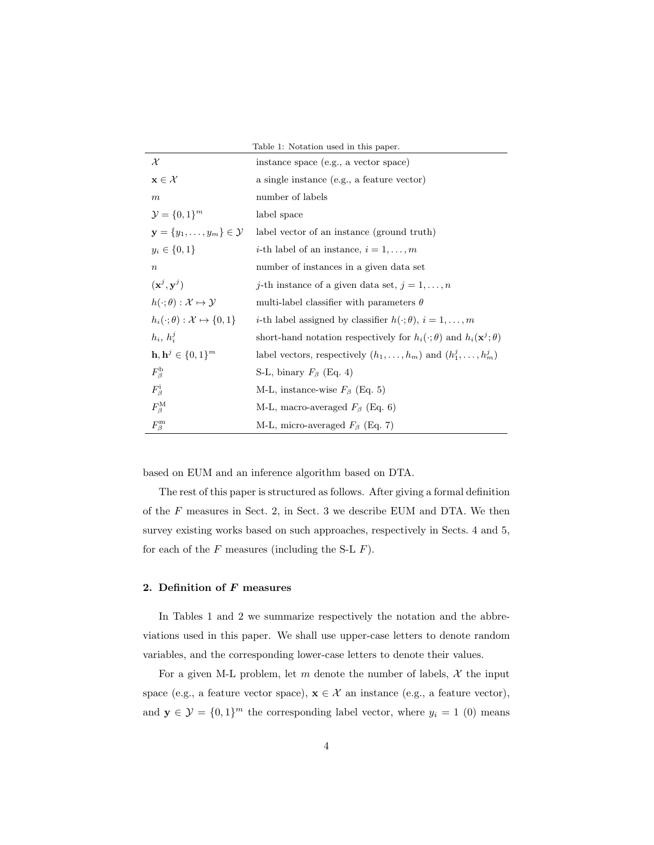|                                                     | Table 1: Notation used in this paper.                                                   |  |
|-----------------------------------------------------|-----------------------------------------------------------------------------------------|--|
| $\mathcal X$                                        | instance space (e.g., a vector space)                                                   |  |
| $\mathbf{x} \in \mathcal{X}$                        | a single instance (e.g., a feature vector)                                              |  |
| m                                                   | number of labels                                                                        |  |
| $\mathcal{Y} = \{0, 1\}^m$                          | label space                                                                             |  |
| $\mathbf{y} = \{y_1, \ldots, y_m\} \in \mathcal{Y}$ | label vector of an instance (ground truth)                                              |  |
| $y_i \in \{0, 1\}$                                  | <i>i</i> -th label of an instance, $i = 1, , m$                                         |  |
| $\boldsymbol{n}$                                    | number of instances in a given data set                                                 |  |
| $(\mathbf{x}^j, \mathbf{y}^j)$                      | <i>j</i> -th instance of a given data set, $j = 1, , n$                                 |  |
| $h(\cdot;\theta): \mathcal{X} \mapsto \mathcal{Y}$  | multi-label classifier with parameters $\theta$                                         |  |
| $h_i(\cdot;\theta): \mathcal{X} \mapsto \{0,1\}$    | <i>i</i> -th label assigned by classifier $h(\cdot; \theta)$ , $i = 1, , m$             |  |
| $h_i, h_i^j$                                        | short-hand notation respectively for $h_i(\cdot;\theta)$ and $h_i(\mathbf{x}^j;\theta)$ |  |
| $\mathbf{h}, \mathbf{h}^{j} \in \{0, 1\}^{m}$       | label vectors, respectively $(h_1, \ldots, h_m)$ and $(h_1^j, \ldots, h_m^j)$           |  |
| $F^{\rm b}_{\beta}$                                 | S-L, binary $F_\beta$ (Eq. 4)                                                           |  |
| $F^{\rm i}_{\beta}$                                 | M-L, instance-wise $F_{\beta}$ (Eq. 5)                                                  |  |
| $F^{\rm M}_{\beta}$                                 | M-L, macro-averaged $F_\beta$ (Eq. 6)                                                   |  |
| $F^{\rm m}_{\beta}$                                 | M-L, micro-averaged $F_\beta$ (Eq. 7)                                                   |  |

based on EUM and an inference algorithm based on DTA.

The rest of this paper is structured as follows. After giving a formal definition of the F measures in Sect. 2, in Sect. 3 we describe EUM and DTA. We then survey existing works based on such approaches, respectively in Sects. 4 and 5, for each of the  $F$  measures (including the S-L  $F$ ).

# 2. Definition of F measures

In Tables 1 and 2 we summarize respectively the notation and the abbreviations used in this paper. We shall use upper-case letters to denote random variables, and the corresponding lower-case letters to denote their values.

For a given M-L problem, let m denote the number of labels,  $\mathcal X$  the input space (e.g., a feature vector space),  $\mathbf{x} \in \mathcal{X}$  an instance (e.g., a feature vector), and  $\mathbf{y} \in \mathcal{Y} = \{0,1\}^m$  the corresponding label vector, where  $y_i = 1$  (0) means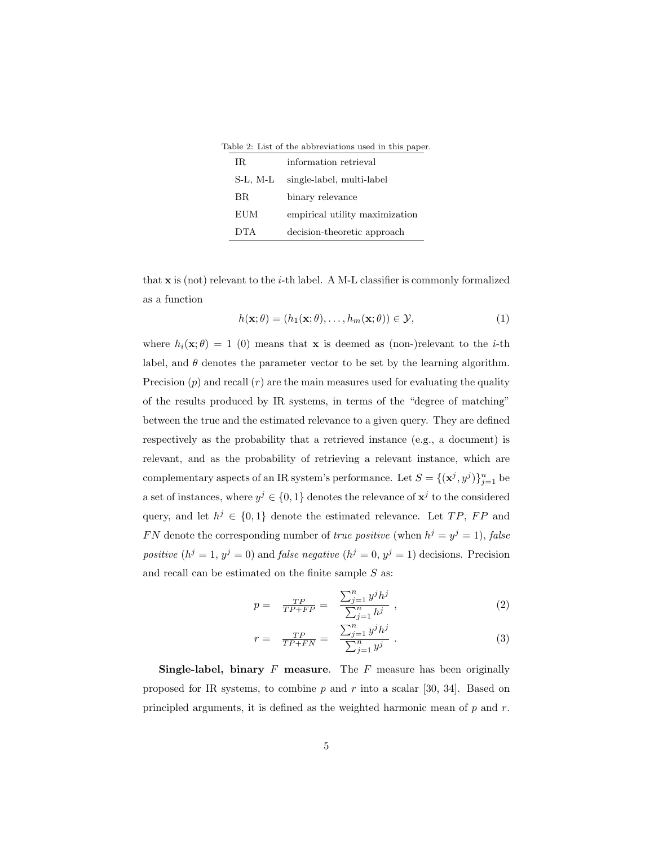IR information retrieval S-L, M-L single-label, multi-label BR binary relevance EUM empirical utility maximization DTA decision-theoretic approach

Table 2: List of the abbreviations used in this paper.

that  $x$  is (not) relevant to the *i*-th label. A M-L classifier is commonly formalized as a function

$$
h(\mathbf{x};\theta) = (h_1(\mathbf{x};\theta),\ldots,h_m(\mathbf{x};\theta)) \in \mathcal{Y},\tag{1}
$$

where  $h_i(\mathbf{x}; \theta) = 1$  (0) means that **x** is deemed as (non-)relevant to the *i*-th label, and  $\theta$  denotes the parameter vector to be set by the learning algorithm. Precision  $(p)$  and recall  $(r)$  are the main measures used for evaluating the quality of the results produced by IR systems, in terms of the "degree of matching" between the true and the estimated relevance to a given query. They are defined respectively as the probability that a retrieved instance (e.g., a document) is relevant, and as the probability of retrieving a relevant instance, which are complementary aspects of an IR system's performance. Let  $S = \{(\mathbf{x}^j, y^j)\}_{j=1}^n$  be a set of instances, where  $y^j \in \{0,1\}$  denotes the relevance of  $x^j$  to the considered query, and let  $h^j \in \{0,1\}$  denote the estimated relevance. Let TP, FP and FN denote the corresponding number of true positive (when  $h^{j} = y^{j} = 1$ ), false positive  $(h^{j} = 1, y^{j} = 0)$  and false negative  $(h^{j} = 0, y^{j} = 1)$  decisions. Precision and recall can be estimated on the finite sample  $S$  as:

$$
p = \frac{TP}{TP + FP} = \frac{\sum_{j=1}^{n} y^{j} h^{j}}{\sum_{j=1}^{n} h^{j}},
$$
\n(2)

$$
r = \frac{TP}{TP + FN} = \frac{\sum_{j=1}^{n} y^{j} h^{j}}{\sum_{j=1}^{n} y^{j}}.
$$
 (3)

Single-label, binary  $F$  measure. The  $F$  measure has been originally proposed for IR systems, to combine  $p$  and  $r$  into a scalar [30, 34]. Based on principled arguments, it is defined as the weighted harmonic mean of  $p$  and  $r$ .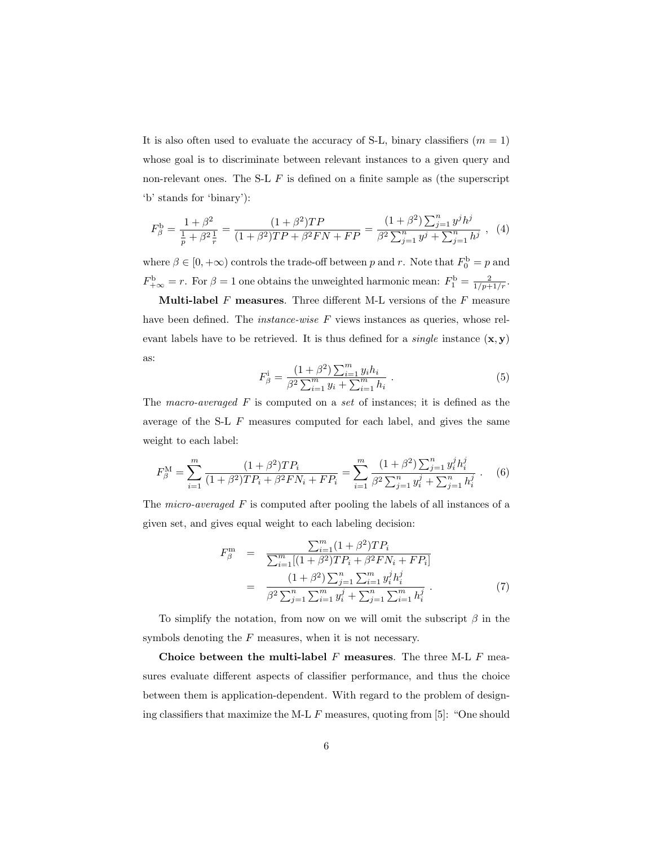It is also often used to evaluate the accuracy of S-L, binary classifiers  $(m = 1)$ whose goal is to discriminate between relevant instances to a given query and non-relevant ones. The S-L  $F$  is defined on a finite sample as (the superscript 'b' stands for 'binary'):

$$
F_{\beta}^{\rm b} = \frac{1+\beta^2}{\frac{1}{p}+\beta^2 \frac{1}{r}} = \frac{(1+\beta^2)TP}{(1+\beta^2)TP + \beta^2 FN + FP} = \frac{(1+\beta^2)\sum_{j=1}^n y^j h^j}{\beta^2 \sum_{j=1}^n y^j + \sum_{j=1}^n h^j}, \quad (4)
$$

where  $\beta \in [0, +\infty)$  controls the trade-off between p and r. Note that  $F_0^{\text{b}} = p$  and  $F_{+\infty}^{\rm b}=r$ . For  $\beta=1$  one obtains the unweighted harmonic mean:  $F_1^{\rm b}=\frac{2}{1/p+1/r}$ .

Multi-label  $F$  measures. Three different M-L versions of the  $F$  measure have been defined. The *instance-wise* F views instances as queries, whose relevant labels have to be retrieved. It is thus defined for a *single* instance  $(x, y)$ as:

$$
F_{\beta}^{i} = \frac{(1+\beta^{2})\sum_{i=1}^{m} y_{i}h_{i}}{\beta^{2}\sum_{i=1}^{m} y_{i} + \sum_{i=1}^{m} h_{i}}.
$$
\n(5)

The macro-averaged  $F$  is computed on a set of instances; it is defined as the average of the S-L  $F$  measures computed for each label, and gives the same weight to each label:

$$
F_{\beta}^{\mathcal{M}} = \sum_{i=1}^{m} \frac{(1+\beta^2)TP_i}{(1+\beta^2)TP_i + \beta^2FN_i + FP_i} = \sum_{i=1}^{m} \frac{(1+\beta^2)\sum_{j=1}^{n} y_i^j h_i^j}{\beta^2 \sum_{j=1}^{n} y_i^j + \sum_{j=1}^{n} h_i^j} \ . \tag{6}
$$

The *micro-averaged*  $F$  is computed after pooling the labels of all instances of a given set, and gives equal weight to each labeling decision:

$$
F_{\beta}^{\mathbf{m}} = \frac{\sum_{i=1}^{m} (1 + \beta^{2}) T P_{i}}{\sum_{i=1}^{m} [(1 + \beta^{2}) T P_{i} + \beta^{2} F N_{i} + F P_{i}]} \\
= \frac{(1 + \beta^{2}) \sum_{j=1}^{n} \sum_{i=1}^{m} y_{i}^{j} h_{i}^{j}}{\beta^{2} \sum_{j=1}^{n} \sum_{i=1}^{m} y_{i}^{j} + \sum_{j=1}^{n} \sum_{i=1}^{m} h_{i}^{j}}.
$$
\n(7)

To simplify the notation, from now on we will omit the subscript  $\beta$  in the symbols denoting the  $F$  measures, when it is not necessary.

Choice between the multi-label  $F$  measures. The three M-L  $F$  measures evaluate different aspects of classifier performance, and thus the choice between them is application-dependent. With regard to the problem of designing classifiers that maximize the M-L  $F$  measures, quoting from [5]: "One should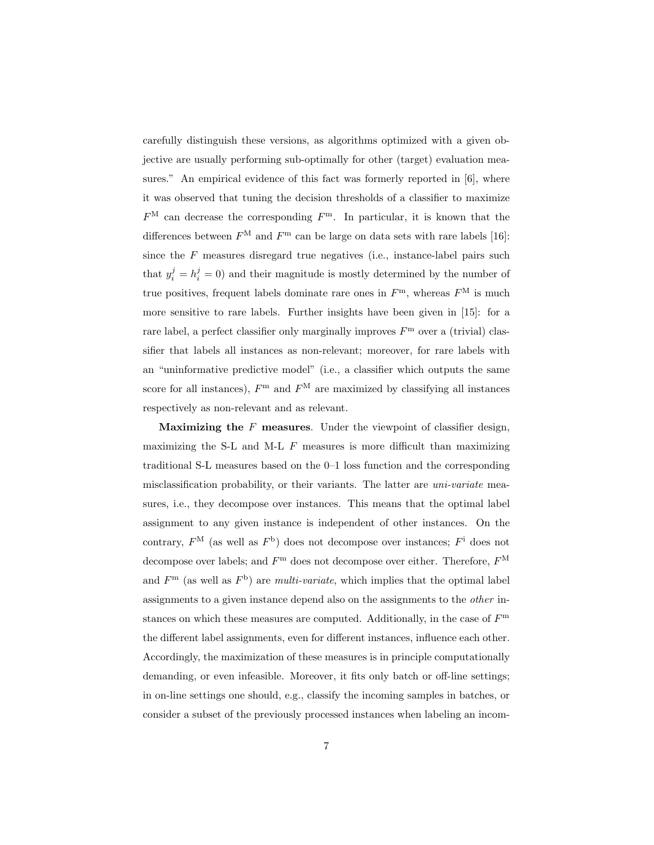carefully distinguish these versions, as algorithms optimized with a given objective are usually performing sub-optimally for other (target) evaluation measures." An empirical evidence of this fact was formerly reported in [6], where it was observed that tuning the decision thresholds of a classifier to maximize  $F^{\text{M}}$  can decrease the corresponding  $F^{\text{m}}$ . In particular, it is known that the differences between  $F^{\text{M}}$  and  $F^{\text{m}}$  can be large on data sets with rare labels [16]: since the  $F$  measures disregard true negatives (i.e., instance-label pairs such that  $y_i^j = h_i^j = 0$  and their magnitude is mostly determined by the number of true positives, frequent labels dominate rare ones in  $F<sup>m</sup>$ , whereas  $F<sup>M</sup>$  is much more sensitive to rare labels. Further insights have been given in [15]: for a rare label, a perfect classifier only marginally improves  $F<sup>m</sup>$  over a (trivial) classifier that labels all instances as non-relevant; moreover, for rare labels with an "uninformative predictive model" (i.e., a classifier which outputs the same score for all instances),  $F^{\text{m}}$  and  $F^{\text{M}}$  are maximized by classifying all instances respectively as non-relevant and as relevant.

**Maximizing the F measures.** Under the viewpoint of classifier design, maximizing the S-L and M-L  $F$  measures is more difficult than maximizing traditional S-L measures based on the 0–1 loss function and the corresponding misclassification probability, or their variants. The latter are uni-variate measures, i.e., they decompose over instances. This means that the optimal label assignment to any given instance is independent of other instances. On the contrary,  $F^{\text{M}}$  (as well as  $F^{\text{b}}$ ) does not decompose over instances;  $F^{\text{i}}$  does not decompose over labels; and  $F^{\text{m}}$  does not decompose over either. Therefore,  $F^{\text{M}}$ and  $F^{\text{m}}$  (as well as  $F^{\text{b}}$ ) are *multi-variate*, which implies that the optimal label assignments to a given instance depend also on the assignments to the other instances on which these measures are computed. Additionally, in the case of  $F<sup>m</sup>$ the different label assignments, even for different instances, influence each other. Accordingly, the maximization of these measures is in principle computationally demanding, or even infeasible. Moreover, it fits only batch or off-line settings; in on-line settings one should, e.g., classify the incoming samples in batches, or consider a subset of the previously processed instances when labeling an incom-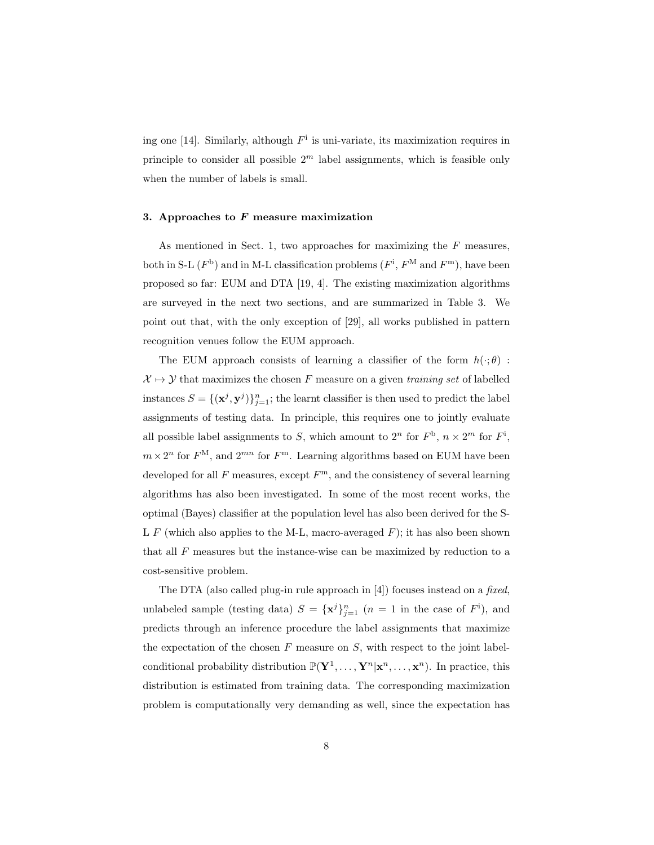ing one [14]. Similarly, although  $F^i$  is uni-variate, its maximization requires in principle to consider all possible  $2<sup>m</sup>$  label assignments, which is feasible only when the number of labels is small.

## 3. Approaches to  $F$  measure maximization

As mentioned in Sect. 1, two approaches for maximizing the  $F$  measures, both in S-L  $(F^{\text{b}})$  and in M-L classification problems  $(F^{\text{i}}, F^{\text{M}})$  and  $F^{\text{m}})$ , have been proposed so far: EUM and DTA [19, 4]. The existing maximization algorithms are surveyed in the next two sections, and are summarized in Table 3. We point out that, with the only exception of [29], all works published in pattern recognition venues follow the EUM approach.

The EUM approach consists of learning a classifier of the form  $h(\cdot; \theta)$ :  $\mathcal{X} \mapsto \mathcal{Y}$  that maximizes the chosen F measure on a given training set of labelled instances  $S = \{(\mathbf{x}^j, \mathbf{y}^j)\}_{j=1}^n$ ; the learnt classifier is then used to predict the label assignments of testing data. In principle, this requires one to jointly evaluate all possible label assignments to S, which amount to  $2^n$  for  $F^{\mathsf{b}}$ ,  $n \times 2^m$  for  $F^{\mathsf{i}}$ ,  $m \times 2^n$  for  $F^M$ , and  $2^{mn}$  for  $F^m$ . Learning algorithms based on EUM have been developed for all  $F$  measures, except  $F<sup>m</sup>$ , and the consistency of several learning algorithms has also been investigated. In some of the most recent works, the optimal (Bayes) classifier at the population level has also been derived for the S-L F (which also applies to the M-L, macro-averaged  $F$ ); it has also been shown that all  $F$  measures but the instance-wise can be maximized by reduction to a cost-sensitive problem.

The DTA (also called plug-in rule approach in  $[4]$ ) focuses instead on a *fixed*, unlabeled sample (testing data)  $S = {\mathbf{x}^{j}}_{j=1}^{n}$  ( $n = 1$  in the case of  $F^{i}$ ), and predicts through an inference procedure the label assignments that maximize the expectation of the chosen  $F$  measure on  $S$ , with respect to the joint labelconditional probability distribution  $\mathbb{P}(\mathbf{Y}^1, \ldots, \mathbf{Y}^n | \mathbf{x}^n, \ldots, \mathbf{x}^n)$ . In practice, this distribution is estimated from training data. The corresponding maximization problem is computationally very demanding as well, since the expectation has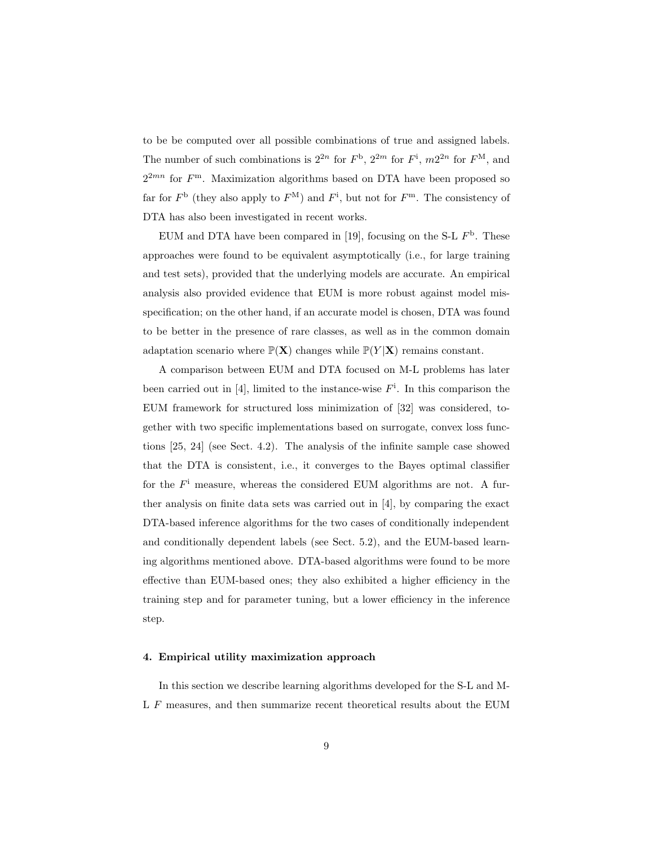to be be computed over all possible combinations of true and assigned labels. The number of such combinations is  $2^{2n}$  for  $F^{\mathfrak{b}}$ ,  $2^{2m}$  for  $F^{\mathfrak{i}}$ ,  $m2^{2n}$  for  $F^{\mathsf{M}}$ , and  $2^{2mn}$  for  $F<sup>m</sup>$ . Maximization algorithms based on DTA have been proposed so far for  $F^{\rm b}$  (they also apply to  $F^{\rm M}$ ) and  $F^{\rm i}$ , but not for  $F^{\rm m}$ . The consistency of DTA has also been investigated in recent works.

EUM and DTA have been compared in [19], focusing on the S-L  $F<sup>b</sup>$ . These approaches were found to be equivalent asymptotically (i.e., for large training and test sets), provided that the underlying models are accurate. An empirical analysis also provided evidence that EUM is more robust against model misspecification; on the other hand, if an accurate model is chosen, DTA was found to be better in the presence of rare classes, as well as in the common domain adaptation scenario where  $\mathbb{P}(\mathbf{X})$  changes while  $\mathbb{P}(Y|\mathbf{X})$  remains constant.

A comparison between EUM and DTA focused on M-L problems has later been carried out in [4], limited to the instance-wise  $F^i$ . In this comparison the EUM framework for structured loss minimization of [32] was considered, together with two specific implementations based on surrogate, convex loss functions [25, 24] (see Sect. 4.2). The analysis of the infinite sample case showed that the DTA is consistent, i.e., it converges to the Bayes optimal classifier for the  $F<sup>i</sup>$  measure, whereas the considered EUM algorithms are not. A further analysis on finite data sets was carried out in [4], by comparing the exact DTA-based inference algorithms for the two cases of conditionally independent and conditionally dependent labels (see Sect. 5.2), and the EUM-based learning algorithms mentioned above. DTA-based algorithms were found to be more effective than EUM-based ones; they also exhibited a higher efficiency in the training step and for parameter tuning, but a lower efficiency in the inference step.

# 4. Empirical utility maximization approach

In this section we describe learning algorithms developed for the S-L and M-L F measures, and then summarize recent theoretical results about the EUM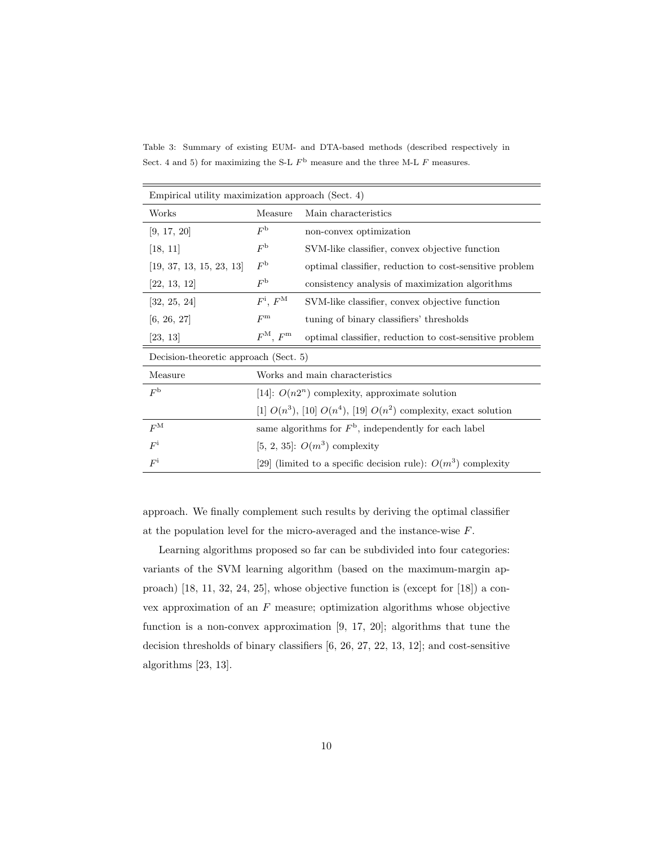Table 3: Summary of existing EUM- and DTA-based methods (described respectively in Sect. 4 and 5) for maximizing the S-L  $F<sup>b</sup>$  measure and the three M-L  $F$  measures.

| Empirical utility maximization approach (Sect. 4) |                                                                         |                                                         |  |
|---------------------------------------------------|-------------------------------------------------------------------------|---------------------------------------------------------|--|
| Works                                             | Measure                                                                 | Main characteristics                                    |  |
| [9, 17, 20]                                       | $F^{\rm b}$                                                             | non-convex optimization                                 |  |
| [18, 11]                                          | $F^{\rm b}$                                                             | SVM-like classifier, convex objective function          |  |
| [19, 37, 13, 15, 23, 13]                          | $F^{\rm b}$                                                             | optimal classifier, reduction to cost-sensitive problem |  |
| [22, 13, 12]                                      | $F^{\rm b}$                                                             | consistency analysis of maximization algorithms         |  |
| [32, 25, 24]                                      | $F^i$ , $F^M$                                                           | SVM-like classifier, convex objective function          |  |
| [6, 26, 27]                                       | $F^{\rm m}$                                                             | tuning of binary classifiers' thresholds                |  |
| [23, 13]                                          | $F^{\text{M}}, F^{\text{m}}$                                            | optimal classifier, reduction to cost-sensitive problem |  |
| Decision-theoretic approach (Sect. 5)             |                                                                         |                                                         |  |
| Measure                                           | Works and main characteristics                                          |                                                         |  |
| $F^{\rm b}$                                       | [14]: $O(n2^n)$ complexity, approximate solution                        |                                                         |  |
|                                                   | [1] $O(n^3)$ , [10] $O(n^4)$ , [19] $O(n^2)$ complexity, exact solution |                                                         |  |
| $F^{\rm M}$                                       | same algorithms for $F^{\text{b}}$ , independently for each label       |                                                         |  |
| $F^{\rm i}$                                       | [5, 2, 35]: $O(m^3)$ complexity                                         |                                                         |  |
| $F^{\rm i}$                                       | [29] (limited to a specific decision rule): $O(m^3)$ complexity         |                                                         |  |

approach. We finally complement such results by deriving the optimal classifier at the population level for the micro-averaged and the instance-wise F.

Learning algorithms proposed so far can be subdivided into four categories: variants of the SVM learning algorithm (based on the maximum-margin approach) [18, 11, 32, 24, 25], whose objective function is (except for [18]) a convex approximation of an  $F$  measure; optimization algorithms whose objective function is a non-convex approximation [9, 17, 20]; algorithms that tune the decision thresholds of binary classifiers [6, 26, 27, 22, 13, 12]; and cost-sensitive algorithms [23, 13].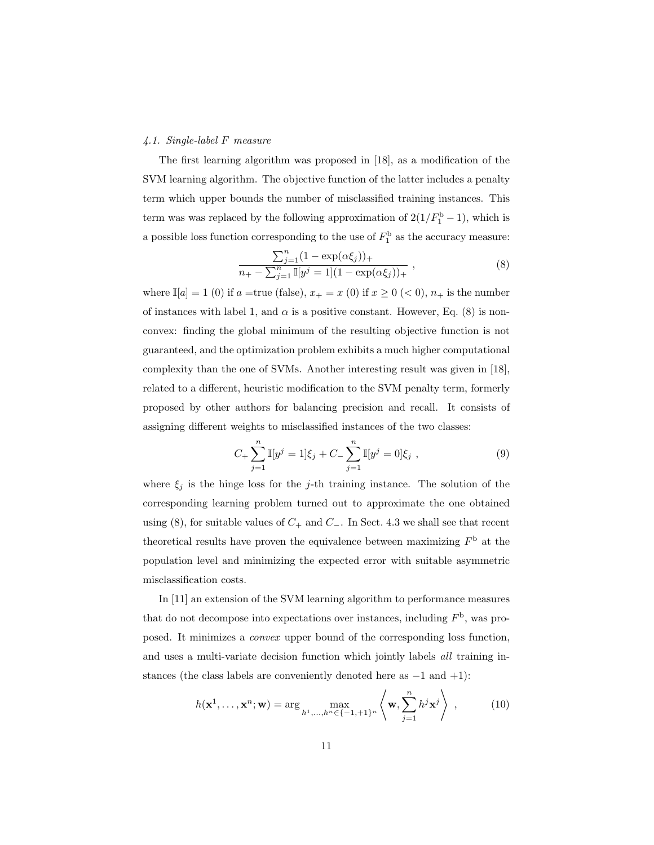## 4.1. Single-label F measure

The first learning algorithm was proposed in [18], as a modification of the SVM learning algorithm. The objective function of the latter includes a penalty term which upper bounds the number of misclassified training instances. This term was was replaced by the following approximation of  $2(1/F_1^b - 1)$ , which is a possible loss function corresponding to the use of  $F_1^{\rm b}$  as the accuracy measure:

$$
\frac{\sum_{j=1}^{n} (1 - \exp(\alpha \xi_j))_{+}}{n_{+} - \sum_{j=1}^{n} \mathbb{I}[y^{j} = 1](1 - \exp(\alpha \xi_j))_{+}},
$$
\n(8)

where  $\mathbb{I}[a] = 1$  (0) if  $a$  =true (false),  $x_+ = x$  (0) if  $x \ge 0$  (< 0),  $n_+$  is the number of instances with label 1, and  $\alpha$  is a positive constant. However, Eq. (8) is nonconvex: finding the global minimum of the resulting objective function is not guaranteed, and the optimization problem exhibits a much higher computational complexity than the one of SVMs. Another interesting result was given in [18], related to a different, heuristic modification to the SVM penalty term, formerly proposed by other authors for balancing precision and recall. It consists of assigning different weights to misclassified instances of the two classes:

$$
C_{+} \sum_{j=1}^{n} \mathbb{I}[y^{j} = 1] \xi_{j} + C_{-} \sum_{j=1}^{n} \mathbb{I}[y^{j} = 0] \xi_{j} , \qquad (9)
$$

where  $\xi_j$  is the hinge loss for the j-th training instance. The solution of the corresponding learning problem turned out to approximate the one obtained using (8), for suitable values of  $C_+$  and  $C_-$ . In Sect. 4.3 we shall see that recent theoretical results have proven the equivalence between maximizing  $F<sup>b</sup>$  at the population level and minimizing the expected error with suitable asymmetric misclassification costs.

In [11] an extension of the SVM learning algorithm to performance measures that do not decompose into expectations over instances, including  $F<sup>b</sup>$ , was proposed. It minimizes a convex upper bound of the corresponding loss function, and uses a multi-variate decision function which jointly labels all training instances (the class labels are conveniently denoted here as  $-1$  and  $+1$ ):

$$
h(\mathbf{x}^1, \dots, \mathbf{x}^n; \mathbf{w}) = \arg \max_{h^1, \dots, h^n \in \{-1, +1\}^n} \left\langle \mathbf{w}, \sum_{j=1}^n h^j \mathbf{x}^j \right\rangle ,\qquad (10)
$$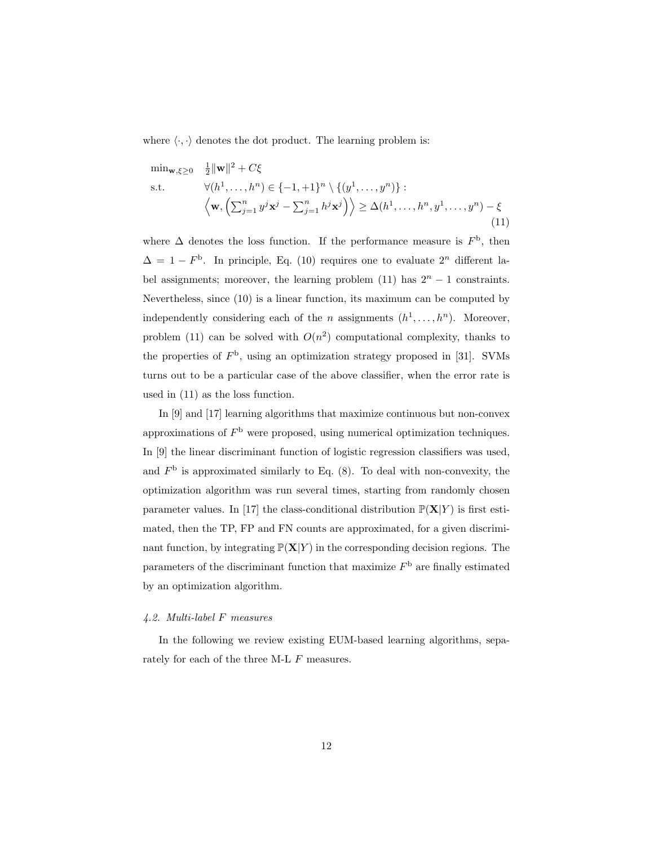where  $\langle \cdot, \cdot \rangle$  denotes the dot product. The learning problem is:

$$
\min_{\mathbf{w}, \xi \ge 0} \quad \frac{1}{2} \|\mathbf{w}\|^2 + C\xi
$$
\n
$$
\text{s.t.} \quad \forall (h^1, \dots, h^n) \in \{-1, +1\}^n \setminus \{(y^1, \dots, y^n)\}:
$$
\n
$$
\left\langle \mathbf{w}, \left( \sum_{j=1}^n y^j \mathbf{x}^j - \sum_{j=1}^n h^j \mathbf{x}^j \right) \right\rangle \ge \Delta(h^1, \dots, h^n, y^1, \dots, y^n) - \xi
$$
\n(11)

where  $\Delta$  denotes the loss function. If the performance measure is  $F^{\rm b}$ , then  $\Delta = 1 - F^{\rm b}$ . In principle, Eq. (10) requires one to evaluate  $2^n$  different label assignments; moreover, the learning problem (11) has  $2<sup>n</sup> - 1$  constraints. Nevertheless, since (10) is a linear function, its maximum can be computed by independently considering each of the *n* assignments  $(h^1, \ldots, h^n)$ . Moreover, problem (11) can be solved with  $O(n^2)$  computational complexity, thanks to the properties of  $F<sup>b</sup>$ , using an optimization strategy proposed in [31]. SVMs turns out to be a particular case of the above classifier, when the error rate is used in (11) as the loss function.

In [9] and [17] learning algorithms that maximize continuous but non-convex approximations of  $F<sup>b</sup>$  were proposed, using numerical optimization techniques. In [9] the linear discriminant function of logistic regression classifiers was used, and  $F<sup>b</sup>$  is approximated similarly to Eq. (8). To deal with non-convexity, the optimization algorithm was run several times, starting from randomly chosen parameter values. In [17] the class-conditional distribution  $\mathbb{P}(\mathbf{X}|Y)$  is first estimated, then the TP, FP and FN counts are approximated, for a given discriminant function, by integrating  $\mathbb{P}(\mathbf{X}|Y)$  in the corresponding decision regions. The parameters of the discriminant function that maximize  $F<sup>b</sup>$  are finally estimated by an optimization algorithm.

# 4.2. Multi-label F measures

In the following we review existing EUM-based learning algorithms, separately for each of the three M-L F measures.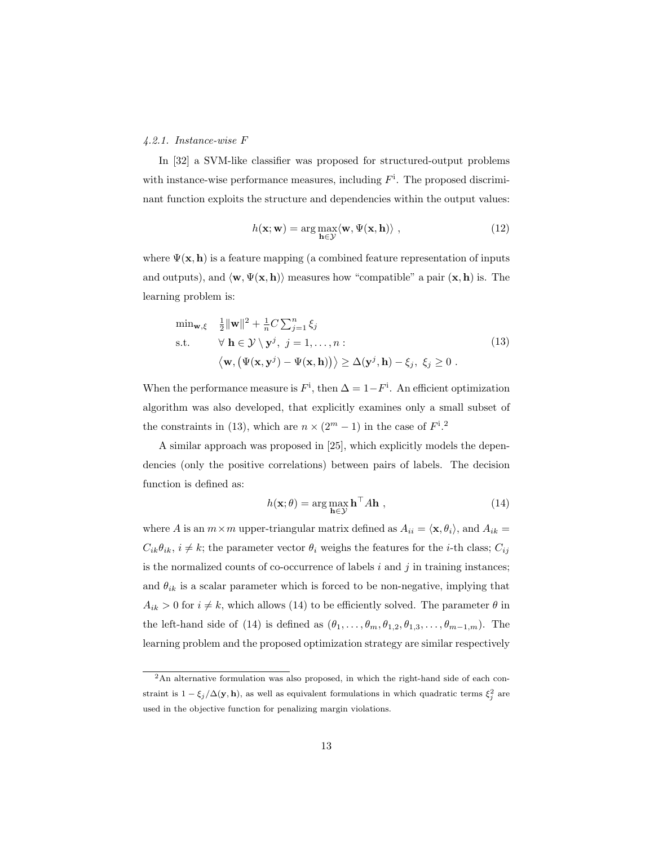## 4.2.1. Instance-wise F

In [32] a SVM-like classifier was proposed for structured-output problems with instance-wise performance measures, including  $F^i$ . The proposed discriminant function exploits the structure and dependencies within the output values:

$$
h(\mathbf{x}; \mathbf{w}) = \arg \max_{\mathbf{h} \in \mathcal{Y}} \langle \mathbf{w}, \Psi(\mathbf{x}, \mathbf{h}) \rangle , \qquad (12)
$$

where  $\Psi(\mathbf{x}, \mathbf{h})$  is a feature mapping (a combined feature representation of inputs and outputs), and  $\langle \mathbf{w}, \Psi(\mathbf{x}, \mathbf{h}) \rangle$  measures how "compatible" a pair  $(\mathbf{x}, \mathbf{h})$  is. The learning problem is:

$$
\min_{\mathbf{w}, \xi} \quad \frac{1}{2} \|\mathbf{w}\|^2 + \frac{1}{n} C \sum_{j=1}^n \xi_j
$$
\ns.t. 
$$
\forall \mathbf{h} \in \mathcal{Y} \setminus \mathbf{y}^j, \ j = 1, \dots, n : \langle \mathbf{w}, (\Psi(\mathbf{x}, \mathbf{y}^j) - \Psi(\mathbf{x}, \mathbf{h})) \rangle \ge \Delta(\mathbf{y}^j, \mathbf{h}) - \xi_j, \ \xi_j \ge 0 .
$$
\n(13)

When the performance measure is  $F^i$ , then  $\Delta = 1 - F^i$ . An efficient optimization algorithm was also developed, that explicitly examines only a small subset of the constraints in (13), which are  $n \times (2^m - 1)$  in the case of  $F^i$ <sup>2</sup>

A similar approach was proposed in [25], which explicitly models the dependencies (only the positive correlations) between pairs of labels. The decision function is defined as:

$$
h(\mathbf{x}; \theta) = \arg \max_{\mathbf{h} \in \mathcal{Y}} \mathbf{h}^{\top} A \mathbf{h} \tag{14}
$$

where A is an  $m \times m$  upper-triangular matrix defined as  $A_{ii} = \langle \mathbf{x}, \theta_i \rangle$ , and  $A_{ik} = \langle \mathbf{x}, \theta_i \rangle$  $C_{ik}\theta_{ik}$ ,  $i \neq k$ ; the parameter vector  $\theta_i$  weighs the features for the *i*-th class;  $C_{ij}$ is the normalized counts of co-occurrence of labels  $i$  and  $j$  in training instances; and  $\theta_{ik}$  is a scalar parameter which is forced to be non-negative, implying that  $A_{ik} > 0$  for  $i \neq k$ , which allows (14) to be efficiently solved. The parameter  $\theta$  in the left-hand side of (14) is defined as  $(\theta_1, \ldots, \theta_m, \theta_{1,2}, \theta_{1,3}, \ldots, \theta_{m-1,m})$ . The learning problem and the proposed optimization strategy are similar respectively

<sup>2</sup>An alternative formulation was also proposed, in which the right-hand side of each constraint is  $1 - \xi_j/\Delta(\mathbf{y}, \mathbf{h})$ , as well as equivalent formulations in which quadratic terms  $\xi_j^2$  are used in the objective function for penalizing margin violations.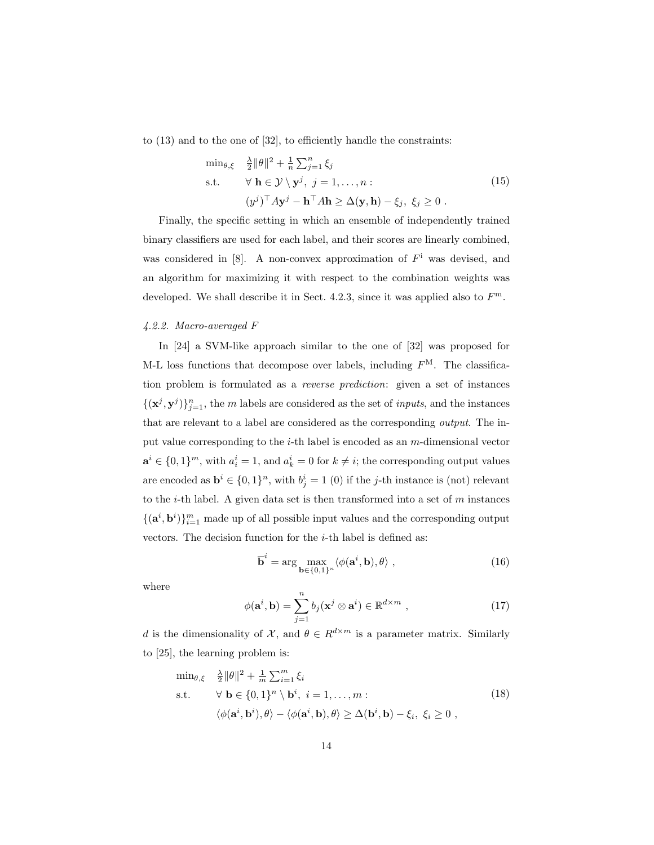to (13) and to the one of [32], to efficiently handle the constraints:

$$
\min_{\theta, \xi} \quad \frac{\lambda}{2} \|\theta\|^2 + \frac{1}{n} \sum_{j=1}^n \xi_j
$$
\n
$$
\text{s.t.} \quad \forall \ \mathbf{h} \in \mathcal{Y} \setminus \mathbf{y}^j, \ j = 1, \dots, n: \quad (15)
$$
\n
$$
(y^j)^\top A \mathbf{y}^j - \mathbf{h}^\top A \mathbf{h} \ge \Delta(\mathbf{y}, \mathbf{h}) - \xi_j, \ \xi_j \ge 0 \ .
$$

Finally, the specific setting in which an ensemble of independently trained binary classifiers are used for each label, and their scores are linearly combined, was considered in [8]. A non-convex approximation of  $F<sup>i</sup>$  was devised, and an algorithm for maximizing it with respect to the combination weights was developed. We shall describe it in Sect. 4.2.3, since it was applied also to  $F<sup>m</sup>$ .

#### 4.2.2. Macro-averaged F

In [24] a SVM-like approach similar to the one of [32] was proposed for M-L loss functions that decompose over labels, including  $F^M$ . The classification problem is formulated as a reverse prediction: given a set of instances  $\{(\mathbf{x}^j, \mathbf{y}^j)\}_{j=1}^n$ , the m labels are considered as the set of *inputs*, and the instances that are relevant to a label are considered as the corresponding output. The input value corresponding to the  $i$ -th label is encoded as an  $m$ -dimensional vector  $\mathbf{a}^i \in \{0,1\}^m$ , with  $a_i^i = 1$ , and  $a_k^i = 0$  for  $k \neq i$ ; the corresponding output values are encoded as  $\mathbf{b}^i \in \{0,1\}^n$ , with  $b^i_j = 1$  (0) if the *j*-th instance is (not) relevant to the  $i$ -th label. A given data set is then transformed into a set of  $m$  instances  $\{(\mathbf{a}^i, \mathbf{b}^i)\}_{i=1}^m$  made up of all possible input values and the corresponding output vectors. The decision function for the i-th label is defined as:

$$
\overline{\mathbf{b}}^i = \arg \max_{\mathbf{b} \in \{0,1\}^n} \langle \phi(\mathbf{a}^i, \mathbf{b}), \theta \rangle , \qquad (16)
$$

where

$$
\phi(\mathbf{a}^i, \mathbf{b}) = \sum_{j=1}^n b_j(\mathbf{x}^j \otimes \mathbf{a}^i) \in \mathbb{R}^{d \times m}, \qquad (17)
$$

d is the dimensionality of  $\mathcal{X}$ , and  $\theta \in R^{d \times m}$  is a parameter matrix. Similarly to [25], the learning problem is:

$$
\min_{\theta,\xi} \quad \frac{\lambda}{2} \|\theta\|^2 + \frac{1}{m} \sum_{i=1}^m \xi_i
$$
\n
$$
\text{s.t.} \quad \forall \mathbf{b} \in \{0,1\}^n \setminus \mathbf{b}^i, \ i = 1,\dots,m: \quad (\phi(\mathbf{a}^i, \mathbf{b}^i), \theta) - \langle \phi(\mathbf{a}^i, \mathbf{b}), \theta \rangle \ge \Delta(\mathbf{b}^i, \mathbf{b}) - \xi_i, \ \xi_i \ge 0 \ ,
$$
\n
$$
(18)
$$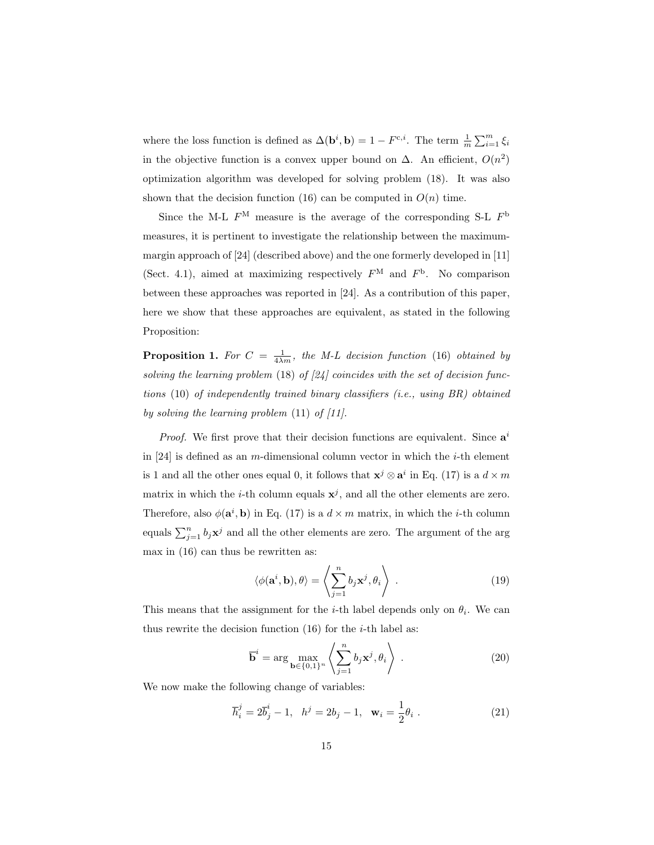where the loss function is defined as  $\Delta(\mathbf{b}^i, \mathbf{b}) = 1 - F^{c,i}$ . The term  $\frac{1}{m} \sum_{i=1}^m \xi_i$ in the objective function is a convex upper bound on  $\Delta$ . An efficient,  $O(n^2)$ optimization algorithm was developed for solving problem (18). It was also shown that the decision function (16) can be computed in  $O(n)$  time.

Since the M-L  $F^{\text{M}}$  measure is the average of the corresponding S-L  $F^{\text{b}}$ measures, it is pertinent to investigate the relationship between the maximummargin approach of [24] (described above) and the one formerly developed in [11] (Sect. 4.1), aimed at maximizing respectively  $F^M$  and  $F^b$ . No comparison between these approaches was reported in [24]. As a contribution of this paper, here we show that these approaches are equivalent, as stated in the following Proposition:

**Proposition 1.** For  $C = \frac{1}{4\lambda m}$ , the M-L decision function (16) obtained by solving the learning problem  $(18)$  of  $[24]$  coincides with the set of decision functions (10) of independently trained binary classifiers (i.e., using BR) obtained by solving the learning problem  $(11)$  of  $[11]$ .

*Proof.* We first prove that their decision functions are equivalent. Since  $a^i$ in [24] is defined as an *m*-dimensional column vector in which the  $i$ -th element is 1 and all the other ones equal 0, it follows that  $x^j \otimes a^i$  in Eq. (17) is a  $d \times m$ matrix in which the *i*-th column equals  $\mathbf{x}^{j}$ , and all the other elements are zero. Therefore, also  $\phi(\mathbf{a}^i, \mathbf{b})$  in Eq. (17) is a  $d \times m$  matrix, in which the *i*-th column equals  $\sum_{j=1}^{n} b_j \mathbf{x}^j$  and all the other elements are zero. The argument of the arg max in (16) can thus be rewritten as:

$$
\langle \phi(\mathbf{a}^i, \mathbf{b}), \theta \rangle = \left\langle \sum_{j=1}^n b_j \mathbf{x}^j, \theta_i \right\rangle . \tag{19}
$$

This means that the assignment for the *i*-th label depends only on  $\theta_i$ . We can thus rewrite the decision function  $(16)$  for the *i*-th label as:

$$
\overline{\mathbf{b}}^i = \arg \max_{\mathbf{b} \in \{0,1\}^n} \left\langle \sum_{j=1}^n b_j \mathbf{x}^j, \theta_i \right\rangle . \tag{20}
$$

We now make the following change of variables:

$$
\overline{h}_i^j = 2\overline{b}_j^i - 1, \quad h^j = 2b_j - 1, \quad \mathbf{w}_i = \frac{1}{2}\theta_i \tag{21}
$$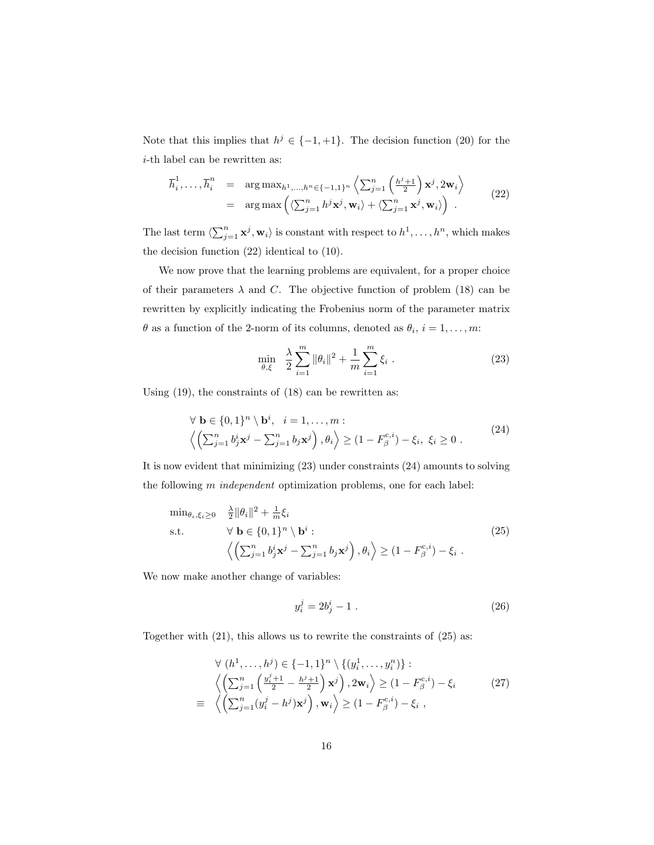Note that this implies that  $h^j \in \{-1, +1\}$ . The decision function (20) for the i-th label can be rewritten as:

$$
\overline{h}_i^1, \dots, \overline{h}_i^n = \arg \max_{h^1, \dots, h^n \in \{-1, 1\}^n} \left\langle \sum_{j=1}^n \left( \frac{h^j + 1}{2} \right) \mathbf{x}^j, 2\mathbf{w}_i \right\rangle
$$
  
\n=  $\arg \max \left( \left\langle \sum_{j=1}^n h^j \mathbf{x}^j, \mathbf{w}_i \right\rangle + \left\langle \sum_{j=1}^n \mathbf{x}^j, \mathbf{w}_i \right\rangle \right).$  (22)

The last term  $\langle \sum_{j=1}^n \mathbf{x}^j, \mathbf{w}_i \rangle$  is constant with respect to  $h^1, \ldots, h^n$ , which makes the decision function (22) identical to (10).

We now prove that the learning problems are equivalent, for a proper choice of their parameters  $\lambda$  and C. The objective function of problem (18) can be rewritten by explicitly indicating the Frobenius norm of the parameter matrix  $\theta$  as a function of the 2-norm of its columns, denoted as  $\theta_i$ ,  $i = 1, \ldots, m$ :

$$
\min_{\theta,\xi} \quad \frac{\lambda}{2} \sum_{i=1}^{m} \|\theta_i\|^2 + \frac{1}{m} \sum_{i=1}^{m} \xi_i \; . \tag{23}
$$

Using (19), the constraints of (18) can be rewritten as:

$$
\forall \mathbf{b} \in \{0, 1\}^n \setminus \mathbf{b}^i, \quad i = 1, ..., m: \left\langle \left(\sum_{j=1}^n b_j^i \mathbf{x}^j - \sum_{j=1}^n b_j \mathbf{x}^j\right), \theta_i \right\rangle \ge (1 - F_\beta^{c,i}) - \xi_i, \ \xi_i \ge 0.
$$
\n(24)

It is now evident that minimizing (23) under constraints (24) amounts to solving the following  $m$  independent optimization problems, one for each label:

$$
\min_{\theta_i, \xi_i \ge 0} \quad \frac{\lambda}{2} \|\theta_i\|^2 + \frac{1}{m}\xi_i
$$
\n
$$
\text{s.t.} \quad \forall \mathbf{b} \in \{0, 1\}^n \setminus \mathbf{b}^i: \quad (\text{25})
$$
\n
$$
\left\langle \left(\sum_{j=1}^n b_j^i \mathbf{x}^j - \sum_{j=1}^n b_j \mathbf{x}^j\right), \theta_i \right\rangle \ge (1 - F_\beta^{c,i}) - \xi_i.
$$
\n
$$
(25)
$$

We now make another change of variables:

$$
y_i^j = 2b_j^i - 1 \tag{26}
$$

Together with (21), this allows us to rewrite the constraints of (25) as:

$$
\forall (h^1, \ldots, h^j) \in \{-1, 1\}^n \setminus \{(y_i^1, \ldots, y_i^n)\} :
$$
\n
$$
\left\langle \left(\sum_{j=1}^n \left(\frac{y_i^j + 1}{2} - \frac{h^j + 1}{2}\right) \mathbf{x}^j\right), 2\mathbf{w}_i \right\rangle \ge (1 - F_\beta^{c,i}) - \xi_i
$$
\n
$$
\equiv \left\langle \left(\sum_{j=1}^n (y_i^j - h^j) \mathbf{x}^j\right), \mathbf{w}_i \right\rangle \ge (1 - F_\beta^{c,i}) - \xi_i ,
$$
\n(27)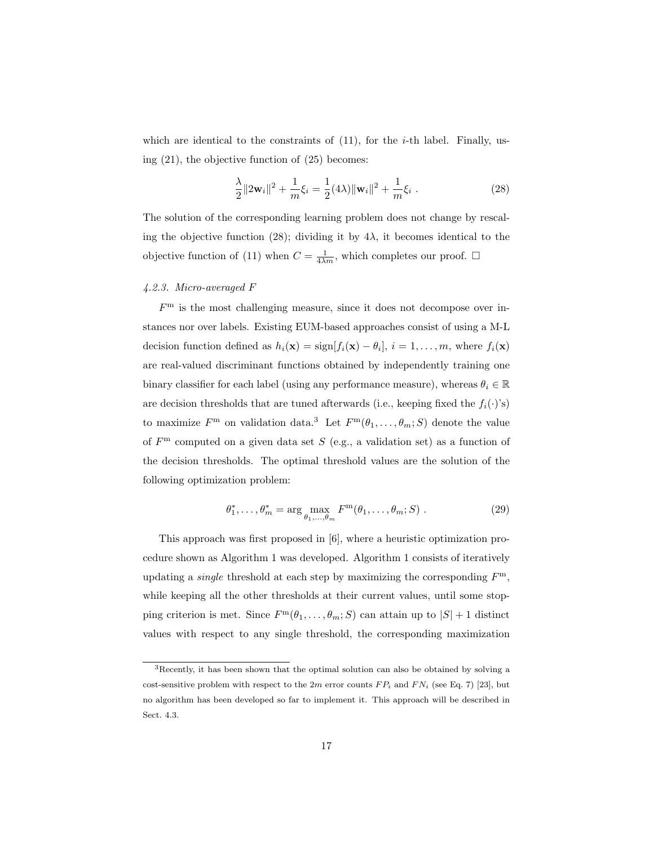which are identical to the constraints of  $(11)$ , for the *i*-th label. Finally, using (21), the objective function of (25) becomes:

$$
\frac{\lambda}{2}||2\mathbf{w}_{i}||^{2} + \frac{1}{m}\xi_{i} = \frac{1}{2}(4\lambda)||\mathbf{w}_{i}||^{2} + \frac{1}{m}\xi_{i}.
$$
 (28)

The solution of the corresponding learning problem does not change by rescaling the objective function (28); dividing it by  $4\lambda$ , it becomes identical to the objective function of (11) when  $C = \frac{1}{4\lambda m}$ , which completes our proof.  $\Box$ 

## 4.2.3. Micro-averaged F

F <sup>m</sup> is the most challenging measure, since it does not decompose over instances nor over labels. Existing EUM-based approaches consist of using a M-L decision function defined as  $h_i(\mathbf{x}) = \text{sign}[f_i(\mathbf{x}) - \theta_i], i = 1, \dots, m$ , where  $f_i(\mathbf{x})$ are real-valued discriminant functions obtained by independently training one binary classifier for each label (using any performance measure), whereas  $\theta_i \in \mathbb{R}$ are decision thresholds that are tuned afterwards (i.e., keeping fixed the  $f_i(\cdot)$ 's) to maximize  $F^{\text{m}}$  on validation data.<sup>3</sup> Let  $F^{\text{m}}(\theta_1,\ldots,\theta_m;S)$  denote the value of  $F<sup>m</sup>$  computed on a given data set S (e.g., a validation set) as a function of the decision thresholds. The optimal threshold values are the solution of the following optimization problem:

$$
\theta_1^*, \dots, \theta_m^* = \arg \max_{\theta_1, \dots, \theta_m} F^{\mathbf{m}}(\theta_1, \dots, \theta_m; S) . \tag{29}
$$

This approach was first proposed in [6], where a heuristic optimization procedure shown as Algorithm 1 was developed. Algorithm 1 consists of iteratively updating a *single* threshold at each step by maximizing the corresponding  $F<sup>m</sup>$ , while keeping all the other thresholds at their current values, until some stopping criterion is met. Since  $F^m(\theta_1,\ldots,\theta_m;S)$  can attain up to  $|S|+1$  distinct values with respect to any single threshold, the corresponding maximization

<sup>3</sup>Recently, it has been shown that the optimal solution can also be obtained by solving a cost-sensitive problem with respect to the 2m error counts  $FP_i$  and  $FN_i$  (see Eq. 7) [23], but no algorithm has been developed so far to implement it. This approach will be described in Sect. 4.3.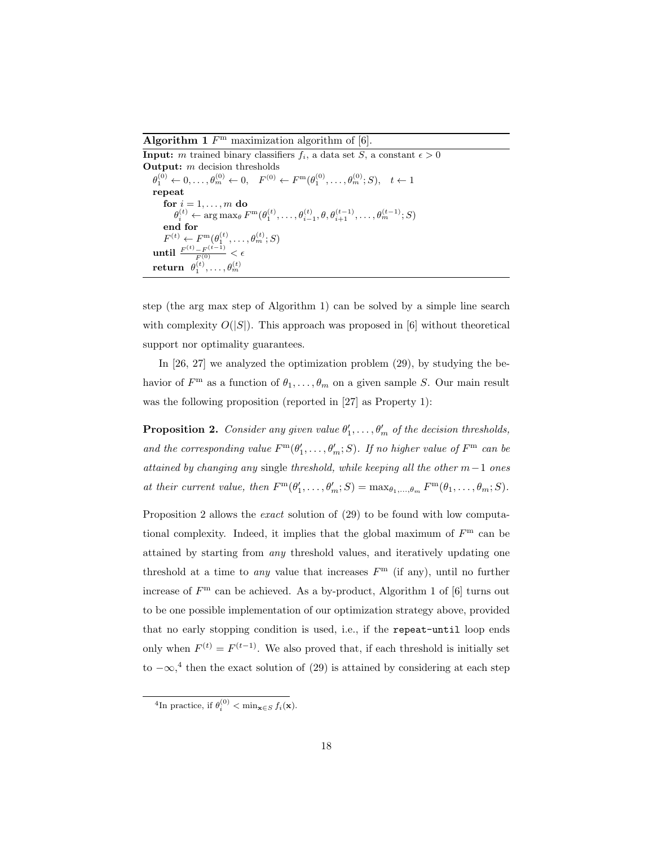Algorithm 1  $F^{\text{m}}$  maximization algorithm of [6].

| <b>Input:</b> m trained binary classifiers $f_i$ , a data set S, a constant $\epsilon > 0$                                                                              |
|-------------------------------------------------------------------------------------------------------------------------------------------------------------------------|
| <b>Output:</b> $m$ decision thresholds                                                                                                                                  |
| $\theta_1^{(0)} \leftarrow 0, \ldots, \theta_m^{(0)} \leftarrow 0, \quad F^{(0)} \leftarrow F^{\rm m}(\theta_1^{(0)}, \ldots, \theta_m^{(0)}; S), \quad t \leftarrow 1$ |
| repeat                                                                                                                                                                  |
| for $i = 1, \ldots, m$ do                                                                                                                                               |
| $\theta_i^{(t)} \leftarrow \arg \max_{\theta} F^{\mathbf{m}}(\theta_1^{(t)}, \dots, \theta_{i-1}^{(t)}, \theta, \theta_{i+1}^{(t-1)}, \dots, \theta_m^{(t-1)}; S)$      |
| end for                                                                                                                                                                 |
| $F^{(t)} \leftarrow F^{m}(\theta_1^{(t)}, \ldots, \theta_m^{(t)}; S)$                                                                                                   |
| until $\frac{F^{(t)} - F^{(t-1)}}{F^{(0)}} < \epsilon$                                                                                                                  |
| return $\theta_1^{(t)}, \ldots, \theta_m^{(t)}$                                                                                                                         |

step (the arg max step of Algorithm 1) can be solved by a simple line search with complexity  $O(|S|)$ . This approach was proposed in [6] without theoretical support nor optimality guarantees.

In [26, 27] we analyzed the optimization problem (29), by studying the behavior of  $F^m$  as a function of  $\theta_1, \ldots, \theta_m$  on a given sample S. Our main result was the following proposition (reported in [27] as Property 1):

**Proposition 2.** Consider any given value  $\theta'_1, \ldots, \theta'_m$  of the decision thresholds, and the corresponding value  $F^m(\theta'_1,\ldots,\theta'_m;S)$ . If no higher value of  $F^m$  can be attained by changing any single threshold, while keeping all the other m−1 ones at their current value, then  $F^m(\theta'_1,\ldots,\theta'_m;S) = \max_{\theta_1,\ldots,\theta_m} F^m(\theta_1,\ldots,\theta_m;S)$ .

Proposition 2 allows the *exact* solution of  $(29)$  to be found with low computational complexity. Indeed, it implies that the global maximum of  $F<sup>m</sup>$  can be attained by starting from any threshold values, and iteratively updating one threshold at a time to *any* value that increases  $F<sup>m</sup>$  (if any), until no further increase of  $F<sup>m</sup>$  can be achieved. As a by-product, Algorithm 1 of [6] turns out to be one possible implementation of our optimization strategy above, provided that no early stopping condition is used, i.e., if the repeat-until loop ends only when  $F^{(t)} = F^{(t-1)}$ . We also proved that, if each threshold is initially set to  $-\infty$ <sup>4</sup>, then the exact solution of (29) is attained by considering at each step

<sup>&</sup>lt;sup>4</sup>In practice, if  $\theta_i^{(0)} < \min_{\mathbf{x} \in S} f_i(\mathbf{x})$ .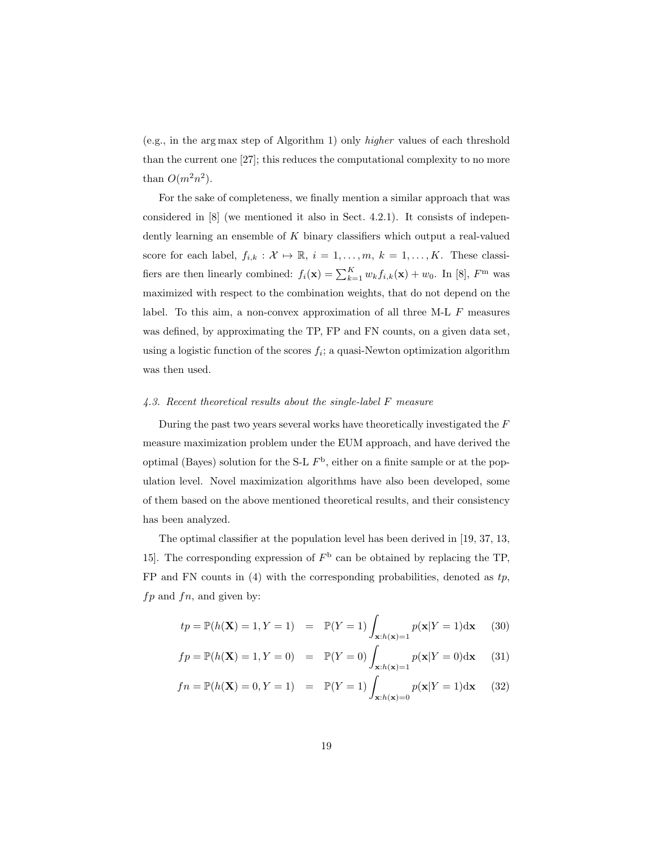(e.g., in the arg max step of Algorithm 1) only higher values of each threshold than the current one [27]; this reduces the computational complexity to no more than  $O(m^2n^2)$ .

For the sake of completeness, we finally mention a similar approach that was considered in [8] (we mentioned it also in Sect. 4.2.1). It consists of independently learning an ensemble of K binary classifiers which output a real-valued score for each label,  $f_{i,k} : \mathcal{X} \mapsto \mathbb{R}$ ,  $i = 1, ..., m$ ,  $k = 1, ..., K$ . These classifiers are then linearly combined:  $f_i(\mathbf{x}) = \sum_{k=1}^{K} w_k f_{i,k}(\mathbf{x}) + w_0$ . In [8],  $F^{\text{m}}$  was maximized with respect to the combination weights, that do not depend on the label. To this aim, a non-convex approximation of all three M-L F measures was defined, by approximating the TP, FP and FN counts, on a given data set, using a logistic function of the scores  $f_i$ ; a quasi-Newton optimization algorithm was then used.

#### 4.3. Recent theoretical results about the single-label F measure

During the past two years several works have theoretically investigated the F measure maximization problem under the EUM approach, and have derived the optimal (Bayes) solution for the S-L  $F<sup>b</sup>$ , either on a finite sample or at the population level. Novel maximization algorithms have also been developed, some of them based on the above mentioned theoretical results, and their consistency has been analyzed.

The optimal classifier at the population level has been derived in [19, 37, 13, 15. The corresponding expression of  $F<sup>b</sup>$  can be obtained by replacing the TP, FP and FN counts in  $(4)$  with the corresponding probabilities, denoted as  $tp$ ,  $fp$  and  $fn$ , and given by:

$$
tp = \mathbb{P}(h(\mathbf{X}) = 1, Y = 1) = \mathbb{P}(Y = 1) \int_{\mathbf{x}:h(\mathbf{x})=1} p(\mathbf{x}|Y = 1) \mathrm{d}\mathbf{x} \quad (30)
$$

$$
fp = \mathbb{P}(h(\mathbf{X}) = 1, Y = 0) = \mathbb{P}(Y = 0) \int_{\mathbf{x}:h(\mathbf{x})=1} p(\mathbf{x}|Y = 0) d\mathbf{x}
$$
 (31)

$$
fn = \mathbb{P}(h(\mathbf{X}) = 0, Y = 1) = \mathbb{P}(Y = 1) \int_{\mathbf{x}:h(\mathbf{x})=0} p(\mathbf{x}|Y = 1) \mathrm{d}\mathbf{x} \quad (32)
$$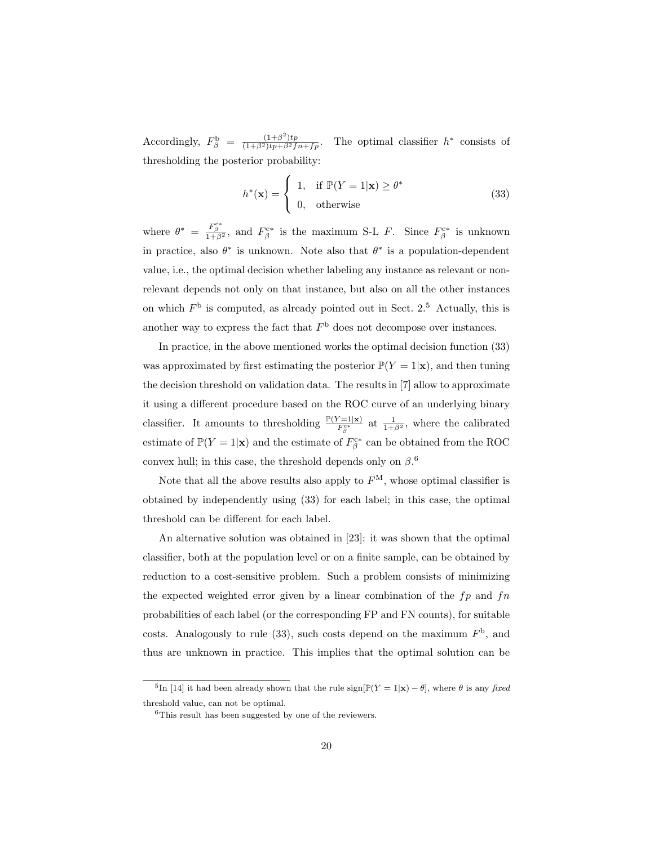Accordingly,  $F_{\beta}^{\mathrm{b}} = \frac{(1+\beta^2)t p}{(1+\beta^2)t p + \beta^2 f}$  $\frac{(1+\beta^2)t_p}{(1+\beta^2)t_p+\beta^2f_n+f_p}$ . The optimal classifier  $h^*$  consists of thresholding the posterior probability:

$$
h^*(\mathbf{x}) = \begin{cases} 1, & \text{if } \mathbb{P}(Y = 1|\mathbf{x}) \ge \theta^* \\ 0, & \text{otherwise} \end{cases}
$$
 (33)

where  $\theta^* = \frac{F_\beta^{c*}}{1+\beta^2}$ , and  $F_\beta^{c*}$  is the maximum S-L F. Since  $F_\beta^{c*}$  is unknown in practice, also  $\theta^*$  is unknown. Note also that  $\theta^*$  is a population-dependent value, i.e., the optimal decision whether labeling any instance as relevant or nonrelevant depends not only on that instance, but also on all the other instances on which  $F^{\text{b}}$  is computed, as already pointed out in Sect. 2.<sup>5</sup> Actually, this is another way to express the fact that  $F<sup>b</sup>$  does not decompose over instances.

In practice, in the above mentioned works the optimal decision function (33) was approximated by first estimating the posterior  $\mathbb{P}(Y=1|\mathbf{x})$ , and then tuning the decision threshold on validation data. The results in [7] allow to approximate it using a different procedure based on the ROC curve of an underlying binary classifier. It amounts to thresholding  $\frac{\mathbb{P}(Y=1|\mathbf{x})}{F_{\beta}^{c^*}}$  at  $\frac{1}{1+\beta^2}$ , where the calibrated estimate of  $\mathbb{P}(Y=1|\mathbf{x})$  and the estimate of  $F_{\beta}^{c*}$  can be obtained from the ROC convex hull; in this case, the threshold depends only on  $\beta$ .<sup>6</sup>

Note that all the above results also apply to  $F^M$ , whose optimal classifier is obtained by independently using (33) for each label; in this case, the optimal threshold can be different for each label.

An alternative solution was obtained in [23]: it was shown that the optimal classifier, both at the population level or on a finite sample, can be obtained by reduction to a cost-sensitive problem. Such a problem consists of minimizing the expected weighted error given by a linear combination of the  $fp$  and  $fn$ probabilities of each label (or the corresponding FP and FN counts), for suitable costs. Analogously to rule (33), such costs depend on the maximum  $F<sup>b</sup>$ , and thus are unknown in practice. This implies that the optimal solution can be

<sup>&</sup>lt;sup>5</sup>In [14] it had been already shown that the rule sign[ $\mathbb{P}(Y=1|\mathbf{x})-\theta$ ], where  $\theta$  is any fixed threshold value, can not be optimal.

<sup>6</sup>This result has been suggested by one of the reviewers.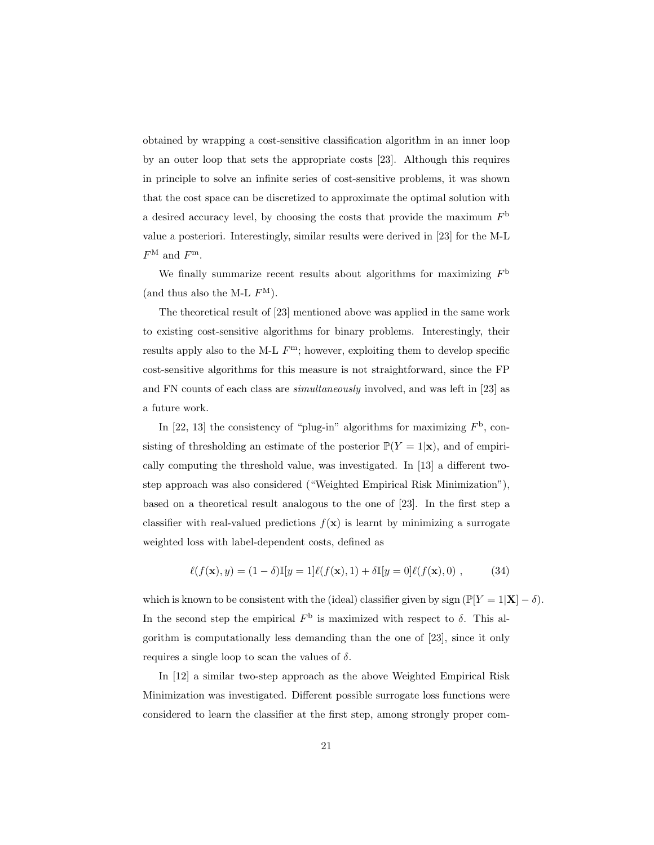obtained by wrapping a cost-sensitive classification algorithm in an inner loop by an outer loop that sets the appropriate costs [23]. Although this requires in principle to solve an infinite series of cost-sensitive problems, it was shown that the cost space can be discretized to approximate the optimal solution with a desired accuracy level, by choosing the costs that provide the maximum  $F<sup>b</sup>$ value a posteriori. Interestingly, similar results were derived in [23] for the M-L  $F^{\text{M}}$  and  $F^{\text{m}}$ .

We finally summarize recent results about algorithms for maximizing  $F<sup>b</sup>$ (and thus also the M-L  $F^{\text{M}}$ ).

The theoretical result of [23] mentioned above was applied in the same work to existing cost-sensitive algorithms for binary problems. Interestingly, their results apply also to the M-L  $F<sup>m</sup>$ ; however, exploiting them to develop specific cost-sensitive algorithms for this measure is not straightforward, since the FP and FN counts of each class are simultaneously involved, and was left in [23] as a future work.

In [22, 13] the consistency of "plug-in" algorithms for maximizing  $F<sup>b</sup>$ , consisting of thresholding an estimate of the posterior  $\mathbb{P}(Y = 1|\mathbf{x})$ , and of empirically computing the threshold value, was investigated. In [13] a different twostep approach was also considered ("Weighted Empirical Risk Minimization"), based on a theoretical result analogous to the one of [23]. In the first step a classifier with real-valued predictions  $f(\mathbf{x})$  is learnt by minimizing a surrogate weighted loss with label-dependent costs, defined as

$$
\ell(f(\mathbf{x}), y) = (1 - \delta)\mathbb{I}[y = 1]\ell(f(\mathbf{x}), 1) + \delta\mathbb{I}[y = 0]\ell(f(\mathbf{x}), 0) , \qquad (34)
$$

which is known to be consistent with the (ideal) classifier given by sign ( $\mathbb{P}[Y = 1|\mathbf{X}] - \delta$ ). In the second step the empirical  $F^{\text{b}}$  is maximized with respect to  $\delta$ . This algorithm is computationally less demanding than the one of [23], since it only requires a single loop to scan the values of  $\delta$ .

In [12] a similar two-step approach as the above Weighted Empirical Risk Minimization was investigated. Different possible surrogate loss functions were considered to learn the classifier at the first step, among strongly proper com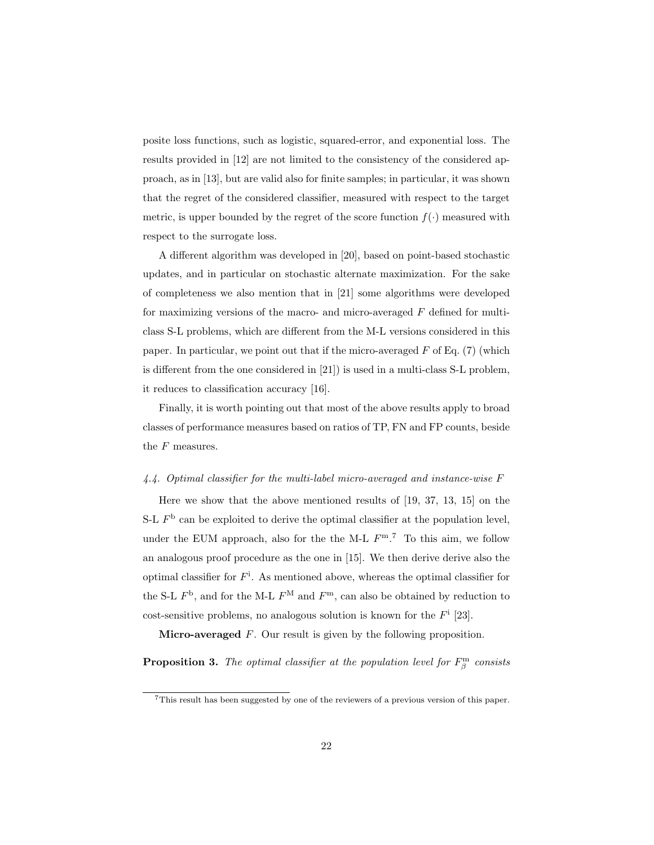posite loss functions, such as logistic, squared-error, and exponential loss. The results provided in [12] are not limited to the consistency of the considered approach, as in [13], but are valid also for finite samples; in particular, it was shown that the regret of the considered classifier, measured with respect to the target metric, is upper bounded by the regret of the score function  $f(\cdot)$  measured with respect to the surrogate loss.

A different algorithm was developed in [20], based on point-based stochastic updates, and in particular on stochastic alternate maximization. For the sake of completeness we also mention that in [21] some algorithms were developed for maximizing versions of the macro- and micro-averaged F defined for multiclass S-L problems, which are different from the M-L versions considered in this paper. In particular, we point out that if the micro-averaged  $F$  of Eq. (7) (which is different from the one considered in [21]) is used in a multi-class S-L problem, it reduces to classification accuracy [16].

Finally, it is worth pointing out that most of the above results apply to broad classes of performance measures based on ratios of TP, FN and FP counts, beside the  $F$  measures.

# 4.4. Optimal classifier for the multi-label micro-averaged and instance-wise F

Here we show that the above mentioned results of [19, 37, 13, 15] on the S-L  $F<sup>b</sup>$  can be exploited to derive the optimal classifier at the population level, under the EUM approach, also for the the M-L  $F<sup>m,7</sup>$  To this aim, we follow an analogous proof procedure as the one in [15]. We then derive derive also the optimal classifier for  $F^i$ . As mentioned above, whereas the optimal classifier for the S-L  $F^{\rm b}$ , and for the M-L  $F^{\rm M}$  and  $F^{\rm m}$ , can also be obtained by reduction to cost-sensitive problems, no analogous solution is known for the  $F^{\rm i}$  [23].

Micro-averaged F. Our result is given by the following proposition.

**Proposition 3.** The optimal classifier at the population level for  $F^{\text{m}}_{\beta}$  consists

<sup>7</sup>This result has been suggested by one of the reviewers of a previous version of this paper.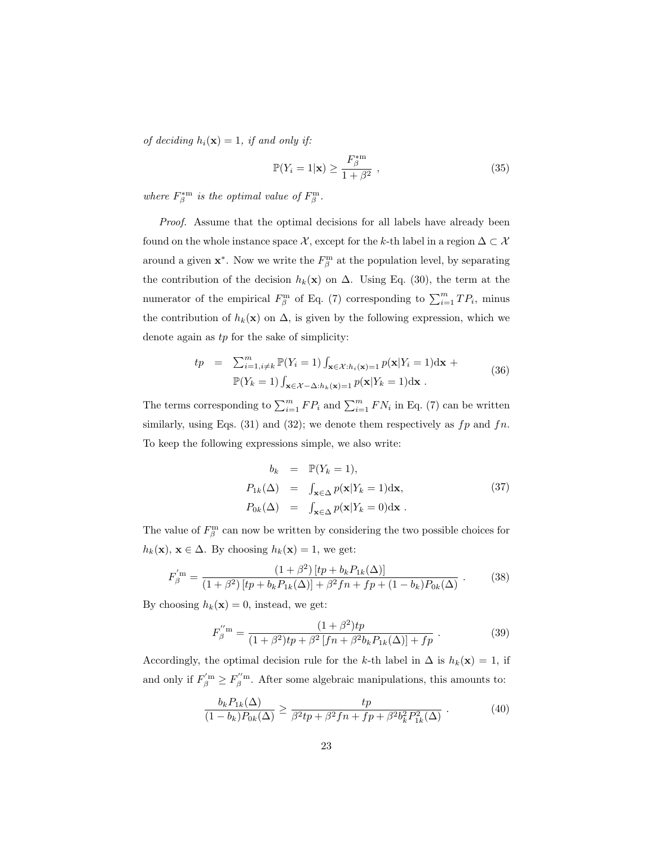of deciding  $h_i(\mathbf{x}) = 1$ , if and only if:

$$
\mathbb{P}(Y_i = 1|\mathbf{x}) \ge \frac{F_{\beta}^{\text{mm}}}{1 + \beta^2} \tag{35}
$$

where  $F_{\beta}^{*m}$  is the optimal value of  $F_{\beta}^{m}$ .

Proof. Assume that the optimal decisions for all labels have already been found on the whole instance space X, except for the k-th label in a region  $\Delta \subset \mathcal{X}$ around a given  $\mathbf{x}^*$ . Now we write the  $F^{\text{m}}_{\beta}$  at the population level, by separating the contribution of the decision  $h_k(\mathbf{x})$  on  $\Delta$ . Using Eq. (30), the term at the numerator of the empirical  $F_{\beta}^{\text{m}}$  of Eq. (7) corresponding to  $\sum_{i=1}^{m}TP_i$ , minus the contribution of  $h_k(\mathbf{x})$  on  $\Delta$ , is given by the following expression, which we denote again as tp for the sake of simplicity:

$$
tp = \sum_{i=1, i \neq k}^{m} \mathbb{P}(Y_i = 1) \int_{\mathbf{x} \in \mathcal{X}: h_i(\mathbf{x}) = 1} p(\mathbf{x}|Y_i = 1) d\mathbf{x} + \mathbb{P}(Y_k = 1) \int_{\mathbf{x} \in \mathcal{X} - \Delta: h_k(\mathbf{x}) = 1} p(\mathbf{x}|Y_k = 1) d\mathbf{x}.
$$
\n(36)

The terms corresponding to  $\sum_{i=1}^{m} FP_i$  and  $\sum_{i=1}^{m} FN_i$  in Eq. (7) can be written similarly, using Eqs. (31) and (32); we denote them respectively as  $fp$  and  $fn$ . To keep the following expressions simple, we also write:

$$
b_k = \mathbb{P}(Y_k = 1),
$$
  
\n
$$
P_{1k}(\Delta) = \int_{\mathbf{x} \in \Delta} p(\mathbf{x}|Y_k = 1) d\mathbf{x},
$$
  
\n
$$
P_{0k}(\Delta) = \int_{\mathbf{x} \in \Delta} p(\mathbf{x}|Y_k = 0) d\mathbf{x}.
$$
\n(37)

The value of  $F^{\rm m}_\beta$  can now be written by considering the two possible choices for  $h_k(\mathbf{x}), \mathbf{x} \in \Delta$ . By choosing  $h_k(\mathbf{x}) = 1$ , we get:

$$
F_{\beta}^{'\mathbf{m}} = \frac{(1+\beta^2)[tp + b_k P_{1k}(\Delta)]}{(1+\beta^2)[tp + b_k P_{1k}(\Delta)] + \beta^2 fn + fp + (1-b_k) P_{0k}(\Delta)}.
$$
(38)

By choosing  $h_k(\mathbf{x}) = 0$ , instead, we get:

$$
F_{\beta}^{"m} = \frac{(1+\beta^2)tp}{(1+\beta^2)tp + \beta^2 \left[fn + \beta^2 b_k P_{1k}(\Delta)\right] + fp}.
$$
 (39)

Accordingly, the optimal decision rule for the k-th label in  $\Delta$  is  $h_k(\mathbf{x}) = 1$ , if and only if  $F'^{\text{m}}_{\beta} \geq F'^{\text{m}}_{\beta}$ . After some algebraic manipulations, this amounts to:

$$
\frac{b_k P_{1k}(\Delta)}{(1 - b_k)P_{0k}(\Delta)} \ge \frac{tp}{\beta^2 tp + \beta^2 fn + fp + \beta^2 b_k^2 P_{1k}^2(\Delta)} \,. \tag{40}
$$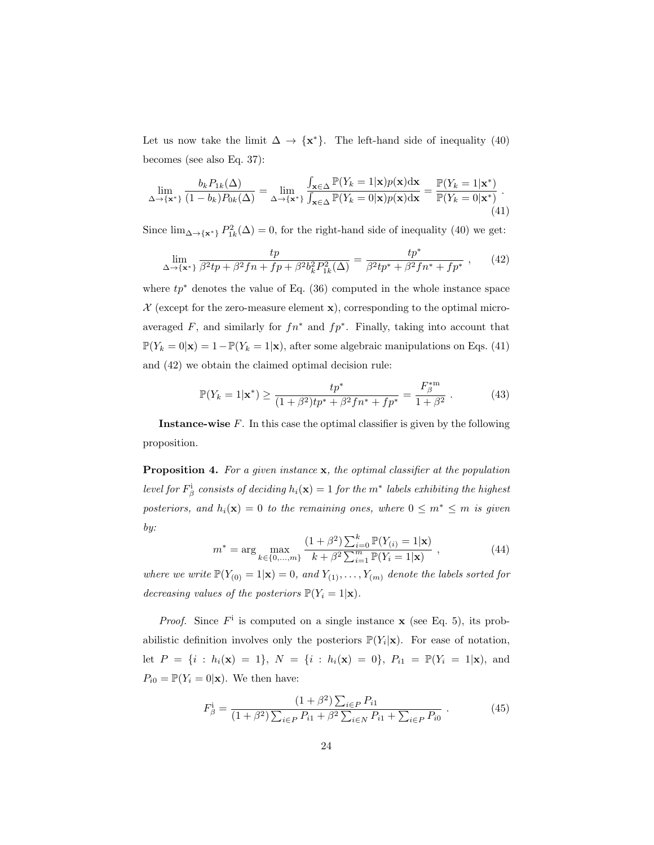Let us now take the limit  $\Delta \to \{x^*\}$ . The left-hand side of inequality (40) becomes (see also Eq. 37):

$$
\lim_{\Delta \to \{\mathbf{x}^*\}} \frac{b_k P_{1k}(\Delta)}{(1 - b_k) P_{0k}(\Delta)} = \lim_{\Delta \to \{\mathbf{x}^*\}} \frac{\int_{\mathbf{x} \in \Delta} \mathbb{P}(Y_k = 1 | \mathbf{x}) p(\mathbf{x}) d\mathbf{x}}{\int_{\mathbf{x} \in \Delta} \mathbb{P}(Y_k = 0 | \mathbf{x}) p(\mathbf{x}) d\mathbf{x}} = \frac{\mathbb{P}(Y_k = 1 | \mathbf{x}^*)}{\mathbb{P}(Y_k = 0 | \mathbf{x}^*)}.
$$
\n(41)

Since  $\lim_{\Delta \to \{x^*\}} P_{1k}^2(\Delta) = 0$ , for the right-hand side of inequality (40) we get:

$$
\lim_{\Delta \to \{\mathbf{x}^*\}} \frac{tp}{\beta^2 tp + \beta^2 fn + fp + \beta^2 b_k^2 P_{1k}^2(\Delta)} = \frac{tp^*}{\beta^2 tp^* + \beta^2 fn^* + fp^*},\qquad(42)
$$

where  $tp^*$  denotes the value of Eq. (36) computed in the whole instance space  $\mathcal X$  (except for the zero-measure element  $\mathbf x$ ), corresponding to the optimal microaveraged F, and similarly for  $fn^*$  and  $fp^*$ . Finally, taking into account that  $\mathbb{P}(Y_k = 0|\mathbf{x}) = 1 - \mathbb{P}(Y_k = 1|\mathbf{x})$ , after some algebraic manipulations on Eqs. (41) and (42) we obtain the claimed optimal decision rule:

$$
\mathbb{P}(Y_k = 1 | \mathbf{x}^*) \ge \frac{tp^*}{(1 + \beta^2)tp^* + \beta^2 fn^* + fp^*} = \frac{F_\beta^{*m}}{1 + \beta^2} \,. \tag{43}
$$

**Instance-wise**  $F$ . In this case the optimal classifier is given by the following proposition.

Proposition 4. For a given instance x, the optimal classifier at the population level for  $F^{\rm i}_{\beta}$  consists of deciding  $h_i({\bf x})=1$  for the  $m^*$  labels exhibiting the highest posteriors, and  $h_i(\mathbf{x}) = 0$  to the remaining ones, where  $0 \leq m^* \leq m$  is given by:

$$
m^* = \arg\max_{k \in \{0, \dots, m\}} \frac{(1+\beta^2) \sum_{i=0}^k \mathbb{P}(Y_{(i)} = 1 | \mathbf{x})}{k + \beta^2 \sum_{i=1}^m \mathbb{P}(Y_i = 1 | \mathbf{x})},
$$
(44)

where we write  $\mathbb{P}(Y_{(0)} = 1 | \mathbf{x}) = 0$ , and  $Y_{(1)}, \ldots, Y_{(m)}$  denote the labels sorted for decreasing values of the posteriors  $\mathbb{P}(Y_i = 1 | \mathbf{x})$ .

*Proof.* Since  $F^i$  is computed on a single instance **x** (see Eq. 5), its probabilistic definition involves only the posteriors  $\mathbb{P}(Y_i|\mathbf{x})$ . For ease of notation, let  $P = \{i : h_i(\mathbf{x}) = 1\}, N = \{i : h_i(\mathbf{x}) = 0\}, P_{i1} = \mathbb{P}(Y_i = 1|\mathbf{x}), \text{ and }$  $P_{i0} = \mathbb{P}(Y_i = 0|\mathbf{x})$ . We then have:

$$
F_{\beta}^{\mathbf{i}} = \frac{(1+\beta^2)\sum_{i\in P} P_{i1}}{(1+\beta^2)\sum_{i\in P} P_{i1} + \beta^2 \sum_{i\in N} P_{i1} + \sum_{i\in P} P_{i0}}.
$$
(45)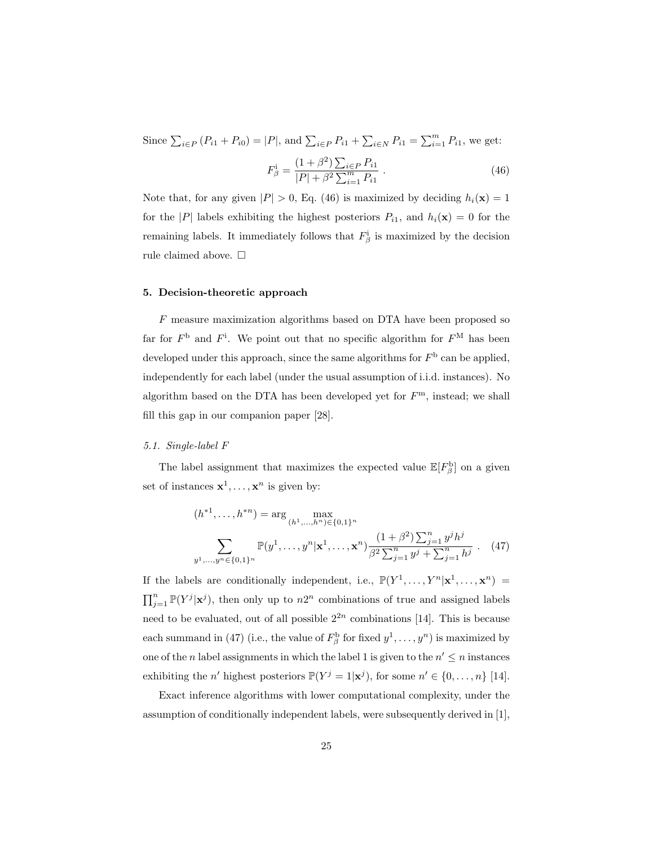Since  $\sum_{i \in P} (P_{i1} + P_{i0}) = |P|$ , and  $\sum_{i \in P} P_{i1} + \sum_{i \in N} P_{i1} = \sum_{i=1}^{m} P_{i1}$ , we get:

$$
F_{\beta}^{i} = \frac{(1+\beta^{2})\sum_{i\in P} P_{i1}}{|P| + \beta^{2}\sum_{i=1}^{m} P_{i1}}.
$$
\n(46)

Note that, for any given  $|P| > 0$ , Eq. (46) is maximized by deciding  $h_i(\mathbf{x}) = 1$ for the |P| labels exhibiting the highest posteriors  $P_{i1}$ , and  $h_i(\mathbf{x}) = 0$  for the remaining labels. It immediately follows that  $F^{\text{i}}_{\beta}$  is maximized by the decision rule claimed above.  $\square$ 

#### 5. Decision-theoretic approach

F measure maximization algorithms based on DTA have been proposed so far for  $F^{\text{b}}$  and  $F^{\text{i}}$ . We point out that no specific algorithm for  $F^{\text{M}}$  has been developed under this approach, since the same algorithms for  $F<sup>b</sup>$  can be applied, independently for each label (under the usual assumption of i.i.d. instances). No algorithm based on the DTA has been developed yet for  $F<sup>m</sup>$ , instead; we shall fill this gap in our companion paper [28].

#### 5.1. Single-label F

The label assignment that maximizes the expected value  $\mathbb{E}[F_{\beta}^{\text{b}}]$  on a given set of instances  $\mathbf{x}^1, \dots, \mathbf{x}^n$  is given by:

$$
(h^{*1}, \dots, h^{*n}) = \arg \max_{(h^1, \dots, h^n) \in \{0, 1\}^n} \sum_{y^1, \dots, y^n \in \{0, 1\}^n} \mathbb{P}(y^1, \dots, y^n | \mathbf{x}^1, \dots, \mathbf{x}^n) \frac{(1 + \beta^2) \sum_{j=1}^n y^j h^j}{\beta^2 \sum_{j=1}^n y^j + \sum_{j=1}^n h^j}.
$$
 (47)

If the labels are conditionally independent, i.e.,  $\mathbb{P}(Y^1,\ldots,Y^n|\mathbf{x}^1,\ldots,\mathbf{x}^n)$  =  $\prod_{j=1}^n \mathbb{P}(Y^j | \mathbf{x}^j)$ , then only up to  $n2^n$  combinations of true and assigned labels need to be evaluated, out of all possible  $2^{2n}$  combinations [14]. This is because each summand in (47) (i.e., the value of  $F^{\text{b}}_{\beta}$  for fixed  $y^1, \ldots, y^n$ ) is maximized by one of the *n* label assignments in which the label 1 is given to the  $n' \leq n$  instances exhibiting the *n'* highest posteriors  $\mathbb{P}(Y^j = 1 | \mathbf{x}^j)$ , for some  $n' \in \{0, ..., n\}$  [14].

Exact inference algorithms with lower computational complexity, under the assumption of conditionally independent labels, were subsequently derived in [1],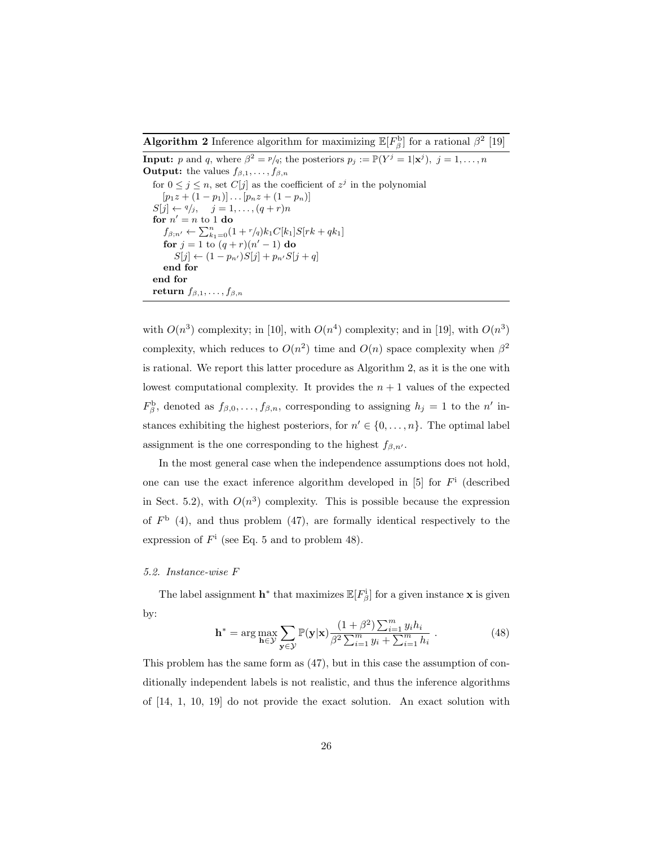**Algorithm 2** Inference algorithm for maximizing  $\mathbb{E}[F_{\beta}^{b}]$  for a rational  $\beta^{2}$  [19]

**Input:** p and q, where  $\beta^2 = \frac{p}{q}$ ; the posteriors  $p_j := \mathbb{P}(Y^j = 1 | \mathbf{x}^j)$ ,  $j = 1, ..., n$ **Output:** the values  $f_{\beta,1}, \ldots, f_{\beta,n}$ for  $0 \leq j \leq n$ , set  $C[j]$  as the coefficient of  $z^{j}$  in the polynomial  $[p_1z + (1-p_1)] \dots [p_nz + (1-p_n)]$  $S[j] \leftarrow q/j, \quad j = 1, \ldots, (q+r)n$ for  $n' = n$  to 1 do  $f_{\beta;n'} \leftarrow \sum_{k_1=0}^n (1+r/q)k_1C[k_1]S[rk+qk_1]$ for  $j = 1$  to  $(q + r)(n' - 1)$  do  $S[j] \leftarrow (1 - p_{n'})S[j] + p_{n'}S[j + q]$ end for end for return  $f_{\beta,1}, \ldots, f_{\beta,n}$ 

with  $O(n^3)$  complexity; in [10], with  $O(n^4)$  complexity; and in [19], with  $O(n^3)$ complexity, which reduces to  $O(n^2)$  time and  $O(n)$  space complexity when  $\beta^2$ is rational. We report this latter procedure as Algorithm 2, as it is the one with lowest computational complexity. It provides the  $n + 1$  values of the expected  $F_{\beta}^{\rm b}$ , denoted as  $f_{\beta,0},\ldots,f_{\beta,n}$ , corresponding to assigning  $h_j = 1$  to the n' instances exhibiting the highest posteriors, for  $n' \in \{0, \ldots, n\}$ . The optimal label assignment is the one corresponding to the highest  $f_{\beta,n'}$ .

In the most general case when the independence assumptions does not hold, one can use the exact inference algorithm developed in [5] for  $F<sup>i</sup>$  (described in Sect. 5.2), with  $O(n^3)$  complexity. This is possible because the expression of  $F^{\text{b}}$  (4), and thus problem (47), are formally identical respectively to the expression of  $F^i$  (see Eq. 5 and to problem 48).

#### 5.2. Instance-wise F

The label assignment  $\mathbf{h}^*$  that maximizes  $\mathbb{E}[F_{\beta}^{\dagger}]$  for a given instance **x** is given by:

$$
\mathbf{h}^* = \arg \max_{\mathbf{h} \in \mathcal{Y}} \sum_{\mathbf{y} \in \mathcal{Y}} \mathbb{P}(\mathbf{y}|\mathbf{x}) \frac{(1+\beta^2) \sum_{i=1}^m y_i h_i}{\beta^2 \sum_{i=1}^m y_i + \sum_{i=1}^m h_i}.
$$
 (48)

This problem has the same form as (47), but in this case the assumption of conditionally independent labels is not realistic, and thus the inference algorithms of [14, 1, 10, 19] do not provide the exact solution. An exact solution with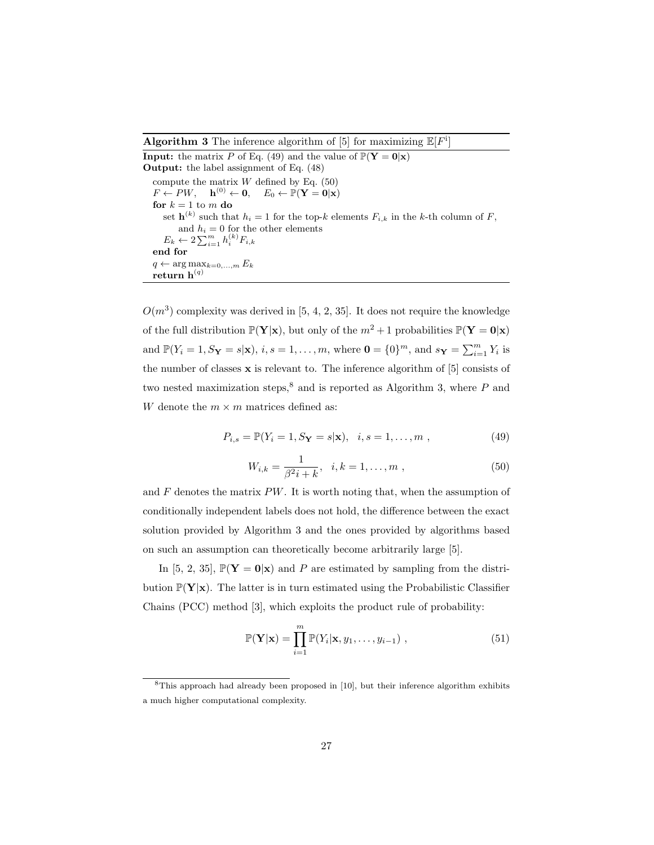**Algorithm 3** The inference algorithm of [5] for maximizing  $\mathbb{E}[F^i]$ 

**Input:** the matrix P of Eq. (49) and the value of  $\mathbb{P}(\mathbf{Y} = \mathbf{0}|\mathbf{x})$ Output: the label assignment of Eq. (48) compute the matrix  $W$  defined by Eq.  $(50)$  $F \leftarrow PW, \quad \mathbf{h}^{(0)} \leftarrow \mathbf{0}, \quad E_0 \leftarrow \mathbb{P}(\mathbf{Y} = \mathbf{0}|\mathbf{x})$ for  $k=1$  to  $m$  do set  $\mathbf{h}^{(k)}$  such that  $h_i = 1$  for the top-k elements  $F_{i,k}$  in the k-th column of F, and  $h_i = 0$  for the other elements  $E_k \leftarrow 2 \sum_{i=1}^m h_i^{(k)} F_{i,k}$ end for  $q \leftarrow \arg \max_{k=0,...,m} E_k$ return  $\mathbf{h}^{(q)}$ 

 $O(m^3)$  complexity was derived in [5, 4, 2, 35]. It does not require the knowledge of the full distribution  $\mathbb{P}(\mathbf{Y}|\mathbf{x})$ , but only of the  $m^2 + 1$  probabilities  $\mathbb{P}(\mathbf{Y} = \mathbf{0}|\mathbf{x})$ and  $\mathbb{P}(Y_i = 1, S_\mathbf{Y} = s|\mathbf{x}), i, s = 1, \dots, m$ , where  $\mathbf{0} = \{0\}^m$ , and  $s_\mathbf{Y} = \sum_{i=1}^m Y_i$  is the number of classes  $x$  is relevant to. The inference algorithm of  $[5]$  consists of two nested maximization steps,<sup>8</sup> and is reported as Algorithm 3, where  $P$  and W denote the  $m \times m$  matrices defined as:

$$
P_{i,s} = \mathbb{P}(Y_i = 1, S_{\mathbf{Y}} = s | \mathbf{x}), \quad i, s = 1, \dots, m \tag{49}
$$

$$
W_{i,k} = \frac{1}{\beta^2 i + k}, \quad i, k = 1, \dots, m \tag{50}
$$

and  $F$  denotes the matrix  $PW$ . It is worth noting that, when the assumption of conditionally independent labels does not hold, the difference between the exact solution provided by Algorithm 3 and the ones provided by algorithms based on such an assumption can theoretically become arbitrarily large [5].

In [5, 2, 35],  $\mathbb{P}(\mathbf{Y} = \mathbf{0}|\mathbf{x})$  and P are estimated by sampling from the distribution  $\mathbb{P}(\mathbf{Y}|\mathbf{x})$ . The latter is in turn estimated using the Probabilistic Classifier Chains (PCC) method [3], which exploits the product rule of probability:

$$
\mathbb{P}(\mathbf{Y}|\mathbf{x}) = \prod_{i=1}^{m} \mathbb{P}(Y_i|\mathbf{x}, y_1, \dots, y_{i-1}), \qquad (51)
$$

 $8$ This approach had already been proposed in [10], but their inference algorithm exhibits a much higher computational complexity.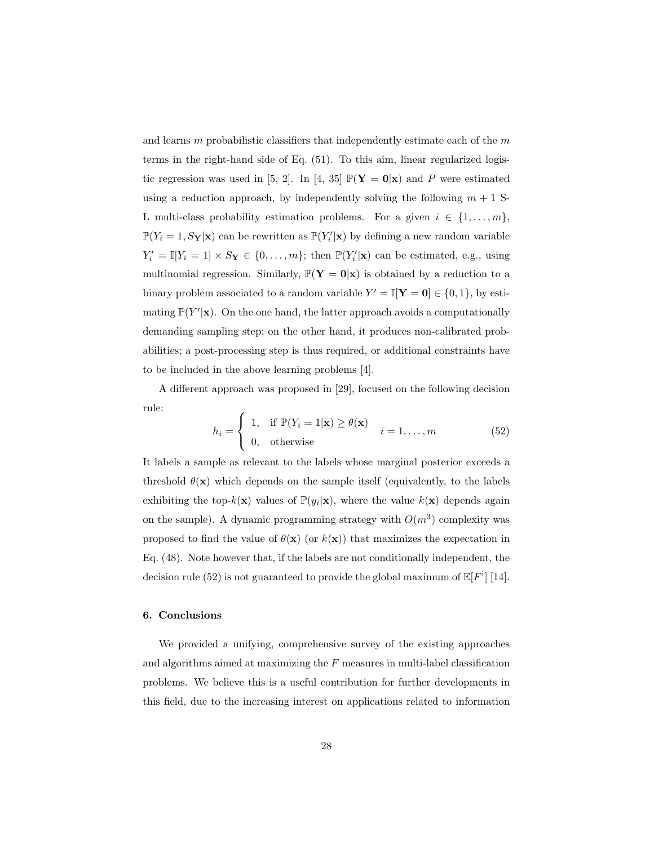and learns  $m$  probabilistic classifiers that independently estimate each of the  $m$ terms in the right-hand side of Eq. (51). To this aim, linear regularized logistic regression was used in [5, 2]. In [4, 35]  $\mathbb{P}(\mathbf{Y} = \mathbf{0}|\mathbf{x})$  and P were estimated using a reduction approach, by independently solving the following  $m + 1$  S-L multi-class probability estimation problems. For a given  $i \in \{1, \ldots, m\}$ ,  $\mathbb{P}(Y_i = 1, S_\mathbf{Y}|\mathbf{x})$  can be rewritten as  $\mathbb{P}(Y_i'|\mathbf{x})$  by defining a new random variable  $Y'_i = \mathbb{I}[Y_i = 1] \times S_\mathbf{Y} \in \{0, \ldots, m\};$  then  $\mathbb{P}(Y'_i|\mathbf{x})$  can be estimated, e.g., using multinomial regression. Similarly,  $\mathbb{P}(\mathbf{Y} = \mathbf{0}|\mathbf{x})$  is obtained by a reduction to a binary problem associated to a random variable  $Y' = \mathbb{I}[\mathbf{Y} = \mathbf{0}] \in \{0, 1\}$ , by estimating  $\mathbb{P}(Y'|\mathbf{x})$ . On the one hand, the latter approach avoids a computationally demanding sampling step; on the other hand, it produces non-calibrated probabilities; a post-processing step is thus required, or additional constraints have to be included in the above learning problems [4].

A different approach was proposed in [29], focused on the following decision rule:

$$
h_i = \begin{cases} 1, & \text{if } \mathbb{P}(Y_i = 1 | \mathbf{x}) \ge \theta(\mathbf{x}) \\ 0, & \text{otherwise} \end{cases} \quad i = 1, \dots, m \tag{52}
$$

It labels a sample as relevant to the labels whose marginal posterior exceeds a threshold  $\theta(\mathbf{x})$  which depends on the sample itself (equivalently, to the labels exhibiting the top- $k(\mathbf{x})$  values of  $\mathbb{P}(y_i|\mathbf{x})$ , where the value  $k(\mathbf{x})$  depends again on the sample). A dynamic programming strategy with  $O(m^3)$  complexity was proposed to find the value of  $\theta(\mathbf{x})$  (or  $k(\mathbf{x})$ ) that maximizes the expectation in Eq. (48). Note however that, if the labels are not conditionally independent, the decision rule (52) is not guaranteed to provide the global maximum of  $\mathbb{E}[F^i]$  [14].

# 6. Conclusions

We provided a unifying, comprehensive survey of the existing approaches and algorithms aimed at maximizing the  $F$  measures in multi-label classification problems. We believe this is a useful contribution for further developments in this field, due to the increasing interest on applications related to information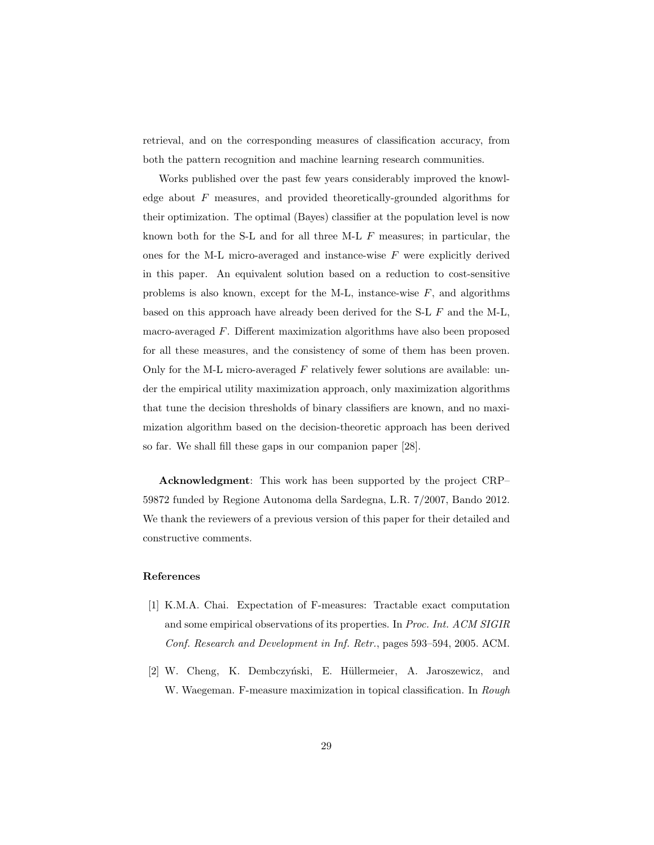retrieval, and on the corresponding measures of classification accuracy, from both the pattern recognition and machine learning research communities.

Works published over the past few years considerably improved the knowledge about F measures, and provided theoretically-grounded algorithms for their optimization. The optimal (Bayes) classifier at the population level is now known both for the S-L and for all three M-L F measures; in particular, the ones for the M-L micro-averaged and instance-wise  $F$  were explicitly derived in this paper. An equivalent solution based on a reduction to cost-sensitive problems is also known, except for the M-L, instance-wise  $F$ , and algorithms based on this approach have already been derived for the S-L F and the M-L, macro-averaged F. Different maximization algorithms have also been proposed for all these measures, and the consistency of some of them has been proven. Only for the M-L micro-averaged  $F$  relatively fewer solutions are available: under the empirical utility maximization approach, only maximization algorithms that tune the decision thresholds of binary classifiers are known, and no maximization algorithm based on the decision-theoretic approach has been derived so far. We shall fill these gaps in our companion paper [28].

Acknowledgment: This work has been supported by the project CRP– 59872 funded by Regione Autonoma della Sardegna, L.R. 7/2007, Bando 2012. We thank the reviewers of a previous version of this paper for their detailed and constructive comments.

## References

- [1] K.M.A. Chai. Expectation of F-measures: Tractable exact computation and some empirical observations of its properties. In Proc. Int. ACM SIGIR Conf. Research and Development in Inf. Retr., pages 593–594, 2005. ACM.
- [2] W. Cheng, K. Dembczyński, E. Hüllermeier, A. Jaroszewicz, and W. Waegeman. F-measure maximization in topical classification. In Rough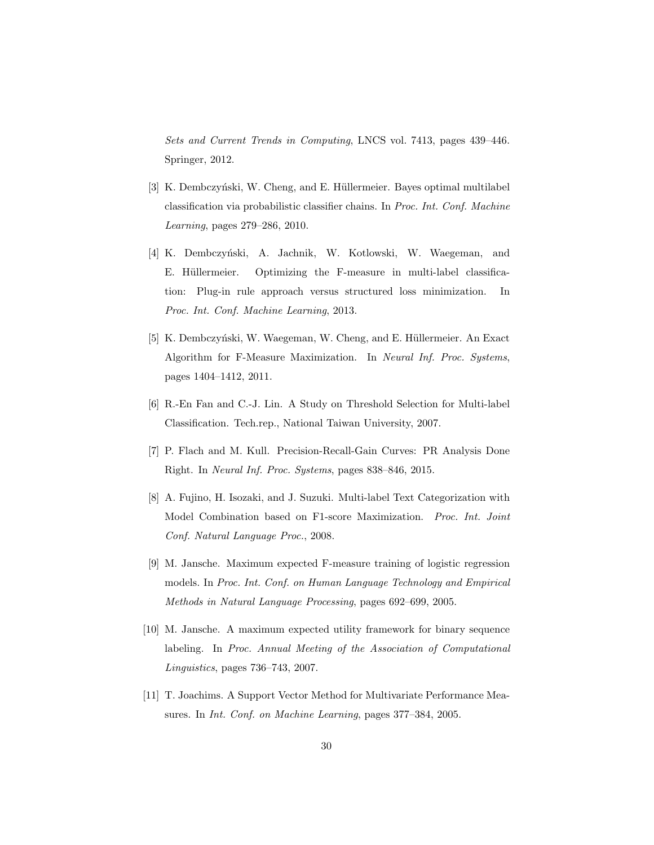Sets and Current Trends in Computing, LNCS vol. 7413, pages 439–446. Springer, 2012.

- [3] K. Dembczyński, W. Cheng, and E. Hüllermeier. Bayes optimal multilabel classification via probabilistic classifier chains. In Proc. Int. Conf. Machine Learning, pages 279–286, 2010.
- [4] K. Dembczyński, A. Jachnik, W. Kotlowski, W. Waegeman, and E. Hüllermeier. Optimizing the F-measure in multi-label classification: Plug-in rule approach versus structured loss minimization. In Proc. Int. Conf. Machine Learning, 2013.
- [5] K. Dembczyński, W. Waegeman, W. Cheng, and E. Hüllermeier. An Exact Algorithm for F-Measure Maximization. In Neural Inf. Proc. Systems, pages 1404–1412, 2011.
- [6] R.-En Fan and C.-J. Lin. A Study on Threshold Selection for Multi-label Classification. Tech.rep., National Taiwan University, 2007.
- [7] P. Flach and M. Kull. Precision-Recall-Gain Curves: PR Analysis Done Right. In Neural Inf. Proc. Systems, pages 838–846, 2015.
- [8] A. Fujino, H. Isozaki, and J. Suzuki. Multi-label Text Categorization with Model Combination based on F1-score Maximization. Proc. Int. Joint Conf. Natural Language Proc., 2008.
- [9] M. Jansche. Maximum expected F-measure training of logistic regression models. In Proc. Int. Conf. on Human Language Technology and Empirical Methods in Natural Language Processing, pages 692–699, 2005.
- [10] M. Jansche. A maximum expected utility framework for binary sequence labeling. In Proc. Annual Meeting of the Association of Computational Linguistics, pages 736–743, 2007.
- [11] T. Joachims. A Support Vector Method for Multivariate Performance Measures. In Int. Conf. on Machine Learning, pages 377–384, 2005.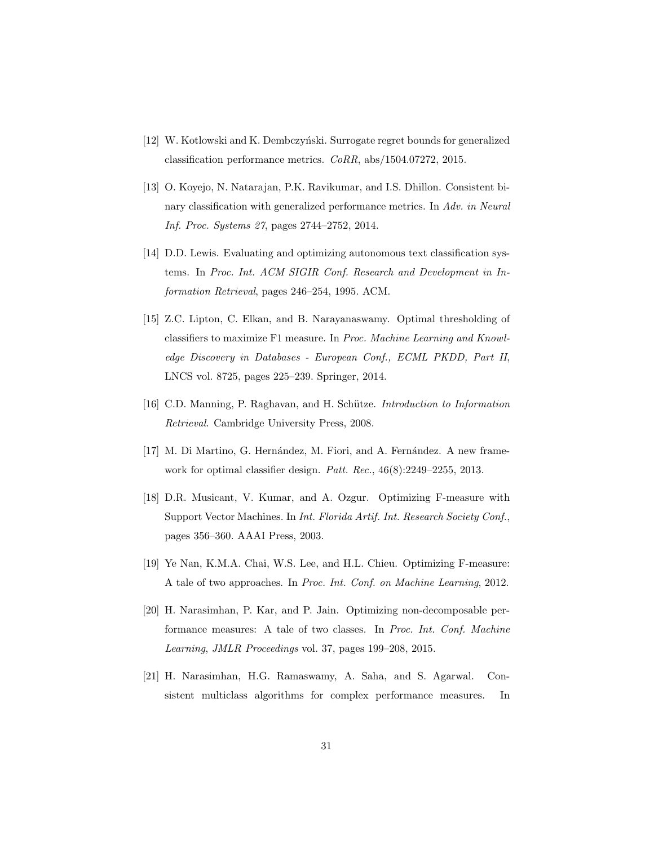- [12] W. Kotlowski and K. Dembczyński. Surrogate regret bounds for generalized classification performance metrics. CoRR, abs/1504.07272, 2015.
- [13] O. Koyejo, N. Natarajan, P.K. Ravikumar, and I.S. Dhillon. Consistent binary classification with generalized performance metrics. In Adv. in Neural Inf. Proc. Systems 27, pages 2744–2752, 2014.
- [14] D.D. Lewis. Evaluating and optimizing autonomous text classification systems. In Proc. Int. ACM SIGIR Conf. Research and Development in Information Retrieval, pages 246–254, 1995. ACM.
- [15] Z.C. Lipton, C. Elkan, and B. Narayanaswamy. Optimal thresholding of classifiers to maximize F1 measure. In Proc. Machine Learning and Knowledge Discovery in Databases - European Conf., ECML PKDD, Part II, LNCS vol. 8725, pages 225–239. Springer, 2014.
- [16] C.D. Manning, P. Raghavan, and H. Schütze. *Introduction to Information* Retrieval. Cambridge University Press, 2008.
- [17] M. Di Martino, G. Hernández, M. Fiori, and A. Fernández. A new framework for optimal classifier design. Patt. Rec., 46(8):2249–2255, 2013.
- [18] D.R. Musicant, V. Kumar, and A. Ozgur. Optimizing F-measure with Support Vector Machines. In Int. Florida Artif. Int. Research Society Conf., pages 356–360. AAAI Press, 2003.
- [19] Ye Nan, K.M.A. Chai, W.S. Lee, and H.L. Chieu. Optimizing F-measure: A tale of two approaches. In Proc. Int. Conf. on Machine Learning, 2012.
- [20] H. Narasimhan, P. Kar, and P. Jain. Optimizing non-decomposable performance measures: A tale of two classes. In Proc. Int. Conf. Machine Learning, JMLR Proceedings vol. 37, pages 199–208, 2015.
- [21] H. Narasimhan, H.G. Ramaswamy, A. Saha, and S. Agarwal. Consistent multiclass algorithms for complex performance measures. In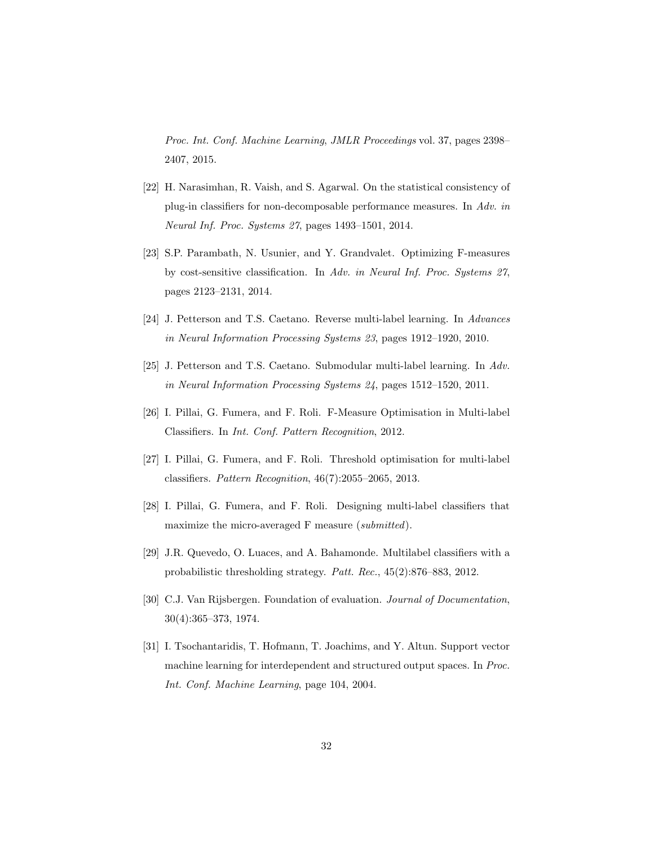Proc. Int. Conf. Machine Learning, JMLR Proceedings vol. 37, pages 2398– 2407, 2015.

- [22] H. Narasimhan, R. Vaish, and S. Agarwal. On the statistical consistency of plug-in classifiers for non-decomposable performance measures. In Adv. in Neural Inf. Proc. Systems 27, pages 1493–1501, 2014.
- [23] S.P. Parambath, N. Usunier, and Y. Grandvalet. Optimizing F-measures by cost-sensitive classification. In Adv. in Neural Inf. Proc. Systems 27, pages 2123–2131, 2014.
- [24] J. Petterson and T.S. Caetano. Reverse multi-label learning. In Advances in Neural Information Processing Systems 23, pages 1912–1920, 2010.
- [25] J. Petterson and T.S. Caetano. Submodular multi-label learning. In Adv. in Neural Information Processing Systems 24, pages 1512–1520, 2011.
- [26] I. Pillai, G. Fumera, and F. Roli. F-Measure Optimisation in Multi-label Classifiers. In Int. Conf. Pattern Recognition, 2012.
- [27] I. Pillai, G. Fumera, and F. Roli. Threshold optimisation for multi-label classifiers. Pattern Recognition, 46(7):2055–2065, 2013.
- [28] I. Pillai, G. Fumera, and F. Roli. Designing multi-label classifiers that maximize the micro-averaged F measure (*submitted*).
- [29] J.R. Quevedo, O. Luaces, and A. Bahamonde. Multilabel classifiers with a probabilistic thresholding strategy. Patt. Rec., 45(2):876–883, 2012.
- [30] C.J. Van Rijsbergen. Foundation of evaluation. Journal of Documentation, 30(4):365–373, 1974.
- [31] I. Tsochantaridis, T. Hofmann, T. Joachims, and Y. Altun. Support vector machine learning for interdependent and structured output spaces. In Proc. Int. Conf. Machine Learning, page 104, 2004.